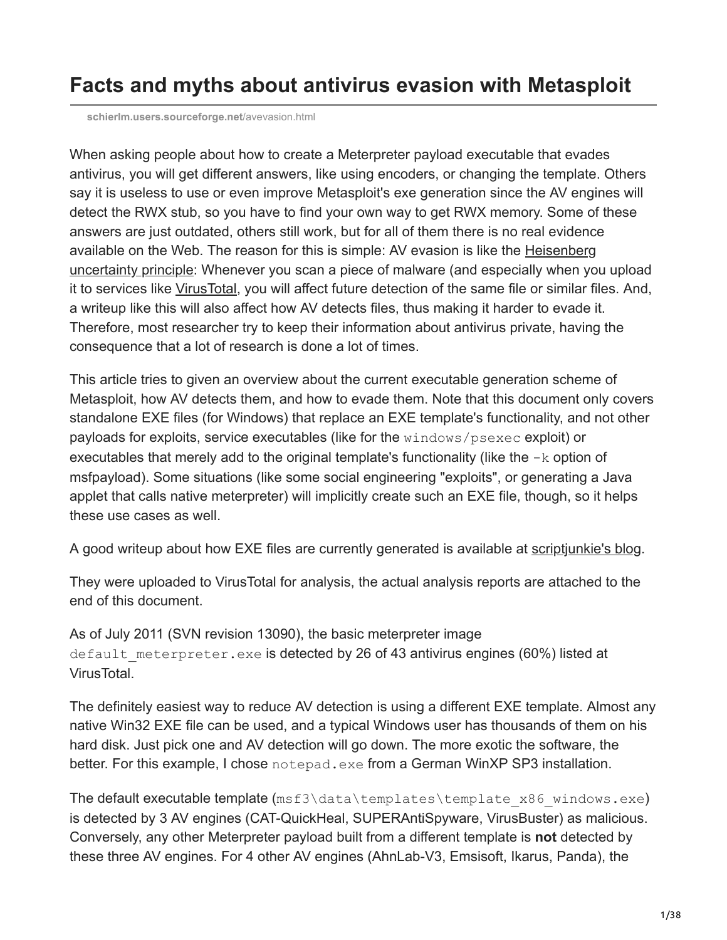# **Facts and myths about antivirus evasion with Metasploit**

**[schierlm.users.sourceforge.net](http://schierlm.users.sourceforge.net/avevasion.html)**/avevasion.html

When asking people about how to create a Meterpreter payload executable that evades antivirus, you will get different answers, like using encoders, or changing the template. Others say it is useless to use or even improve Metasploit's exe generation since the AV engines will detect the RWX stub, so you have to find your own way to get RWX memory. Some of these answers are just outdated, others still work, but for all of them there is no real evidence [available on the Web. The reason for this is simple: AV evasion is like the Heisenberg](http://en.wikipedia.org/wiki/Uncertainty_principle) uncertainty principle: Whenever you scan a piece of malware (and especially when you upload it to services like [VirusTotal](http://www.virustotal.com/), you will affect future detection of the same file or similar files. And, a writeup like this will also affect how AV detects files, thus making it harder to evade it. Therefore, most researcher try to keep their information about antivirus private, having the consequence that a lot of research is done a lot of times.

This article tries to given an overview about the current executable generation scheme of Metasploit, how AV detects them, and how to evade them. Note that this document only covers standalone EXE files (for Windows) that replace an EXE template's functionality, and not other payloads for exploits, service executables (like for the windows/psexec exploit) or executables that merely add to the original template's functionality (like the  $-k$  option of msfpayload). Some situations (like some social engineering "exploits", or generating a Java applet that calls native meterpreter) will implicitly create such an EXE file, though, so it helps these use cases as well.

A good writeup about how EXE files are currently generated is available at [scriptjunkie's blog.](http://www.scriptjunkie.us/2011/04/why-encoding-does-not-matter-and-how-metasploit-generates-exes/)

They were uploaded to VirusTotal for analysis, the actual analysis reports are attached to the end of this document.

As of July 2011 (SVN revision 13090), the basic meterpreter image default meterpreter.exe is detected by 26 of 43 antivirus engines (60%) listed at VirusTotal.

The definitely easiest way to reduce AV detection is using a different EXE template. Almost any native Win32 EXE file can be used, and a typical Windows user has thousands of them on his hard disk. Just pick one and AV detection will go down. The more exotic the software, the better. For this example, I chose notepad.exe from a German WinXP SP3 installation.

The default executable template (msf3\data\templates\template x86 windows.exe) is detected by 3 AV engines (CAT-QuickHeal, SUPERAntiSpyware, VirusBuster) as malicious. Conversely, any other Meterpreter payload built from a different template is **not** detected by these three AV engines. For 4 other AV engines (AhnLab-V3, Emsisoft, Ikarus, Panda), the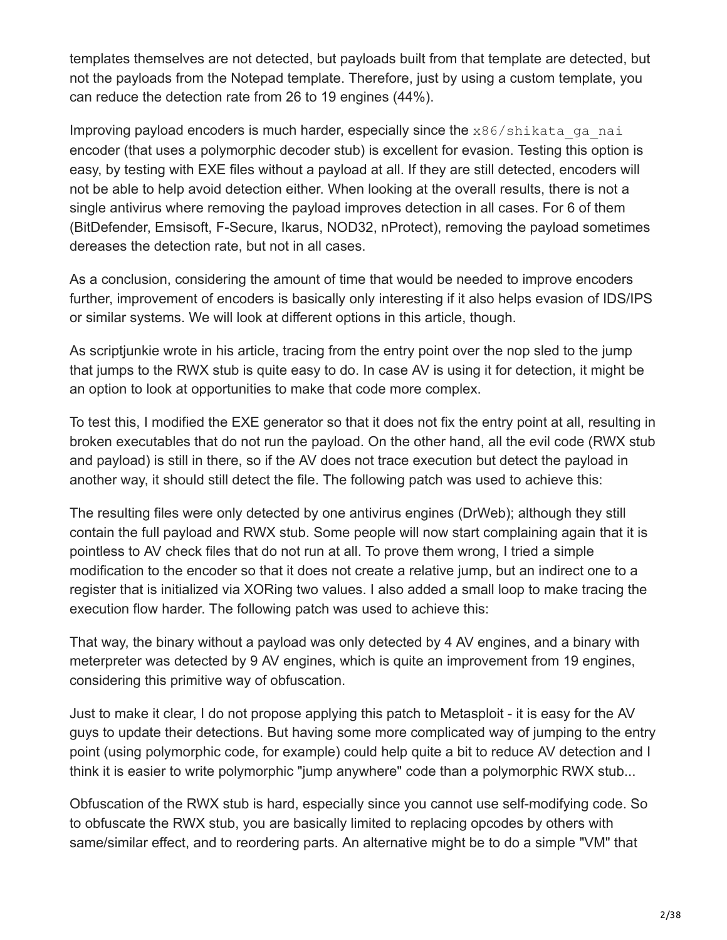templates themselves are not detected, but payloads built from that template are detected, but not the payloads from the Notepad template. Therefore, just by using a custom template, you can reduce the detection rate from 26 to 19 engines (44%).

Improving payload encoders is much harder, especially since the  $x86/s$ hikata ga nai encoder (that uses a polymorphic decoder stub) is excellent for evasion. Testing this option is easy, by testing with EXE files without a payload at all. If they are still detected, encoders will not be able to help avoid detection either. When looking at the overall results, there is not a single antivirus where removing the payload improves detection in all cases. For 6 of them (BitDefender, Emsisoft, F-Secure, Ikarus, NOD32, nProtect), removing the payload sometimes dereases the detection rate, but not in all cases.

As a conclusion, considering the amount of time that would be needed to improve encoders further, improvement of encoders is basically only interesting if it also helps evasion of IDS/IPS or similar systems. We will look at different options in this article, though.

As scriptjunkie wrote in his article, tracing from the entry point over the nop sled to the jump that jumps to the RWX stub is quite easy to do. In case AV is using it for detection, it might be an option to look at opportunities to make that code more complex.

To test this, I modified the EXE generator so that it does not fix the entry point at all, resulting in broken executables that do not run the payload. On the other hand, all the evil code (RWX stub and payload) is still in there, so if the AV does not trace execution but detect the payload in another way, it should still detect the file. The following patch was used to achieve this:

The resulting files were only detected by one antivirus engines (DrWeb); although they still contain the full payload and RWX stub. Some people will now start complaining again that it is pointless to AV check files that do not run at all. To prove them wrong, I tried a simple modification to the encoder so that it does not create a relative jump, but an indirect one to a register that is initialized via XORing two values. I also added a small loop to make tracing the execution flow harder. The following patch was used to achieve this:

That way, the binary without a payload was only detected by 4 AV engines, and a binary with meterpreter was detected by 9 AV engines, which is quite an improvement from 19 engines, considering this primitive way of obfuscation.

Just to make it clear, I do not propose applying this patch to Metasploit - it is easy for the AV guys to update their detections. But having some more complicated way of jumping to the entry point (using polymorphic code, for example) could help quite a bit to reduce AV detection and I think it is easier to write polymorphic "jump anywhere" code than a polymorphic RWX stub...

Obfuscation of the RWX stub is hard, especially since you cannot use self-modifying code. So to obfuscate the RWX stub, you are basically limited to replacing opcodes by others with same/similar effect, and to reordering parts. An alternative might be to do a simple "VM" that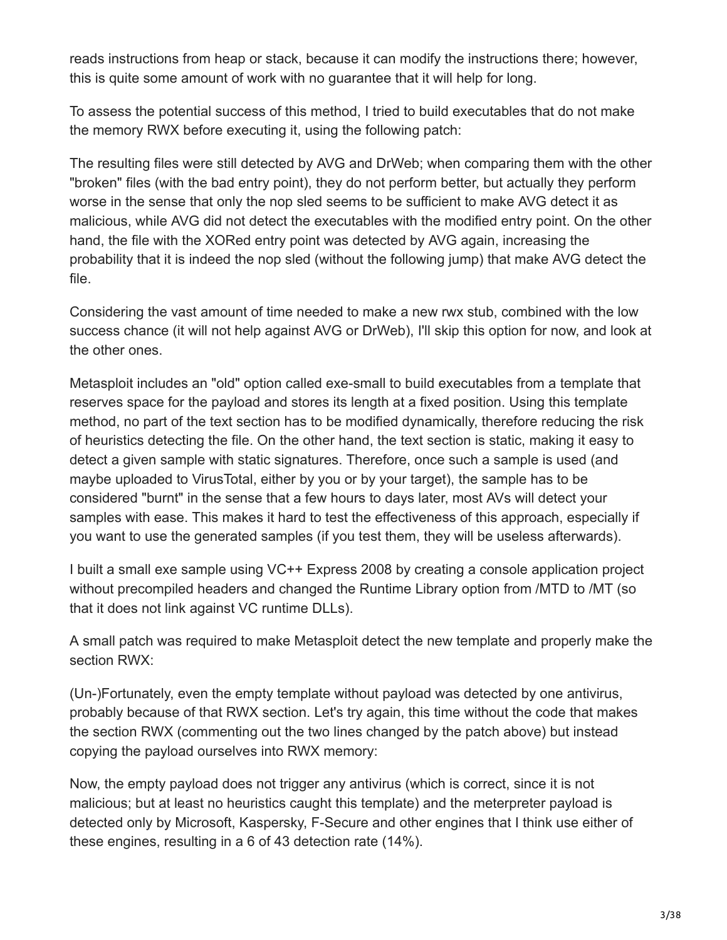reads instructions from heap or stack, because it can modify the instructions there; however, this is quite some amount of work with no guarantee that it will help for long.

To assess the potential success of this method, I tried to build executables that do not make the memory RWX before executing it, using the following patch:

The resulting files were still detected by AVG and DrWeb; when comparing them with the other "broken" files (with the bad entry point), they do not perform better, but actually they perform worse in the sense that only the nop sled seems to be sufficient to make AVG detect it as malicious, while AVG did not detect the executables with the modified entry point. On the other hand, the file with the XORed entry point was detected by AVG again, increasing the probability that it is indeed the nop sled (without the following jump) that make AVG detect the file.

Considering the vast amount of time needed to make a new rwx stub, combined with the low success chance (it will not help against AVG or DrWeb), I'll skip this option for now, and look at the other ones.

Metasploit includes an "old" option called exe-small to build executables from a template that reserves space for the payload and stores its length at a fixed position. Using this template method, no part of the text section has to be modified dynamically, therefore reducing the risk of heuristics detecting the file. On the other hand, the text section is static, making it easy to detect a given sample with static signatures. Therefore, once such a sample is used (and maybe uploaded to VirusTotal, either by you or by your target), the sample has to be considered "burnt" in the sense that a few hours to days later, most AVs will detect your samples with ease. This makes it hard to test the effectiveness of this approach, especially if you want to use the generated samples (if you test them, they will be useless afterwards).

I built a small exe sample using VC++ Express 2008 by creating a console application project without precompiled headers and changed the Runtime Library option from /MTD to /MT (so that it does not link against VC runtime DLLs).

A small patch was required to make Metasploit detect the new template and properly make the section RWX:

(Un-)Fortunately, even the empty template without payload was detected by one antivirus, probably because of that RWX section. Let's try again, this time without the code that makes the section RWX (commenting out the two lines changed by the patch above) but instead copying the payload ourselves into RWX memory:

Now, the empty payload does not trigger any antivirus (which is correct, since it is not malicious; but at least no heuristics caught this template) and the meterpreter payload is detected only by Microsoft, Kaspersky, F-Secure and other engines that I think use either of these engines, resulting in a 6 of 43 detection rate (14%).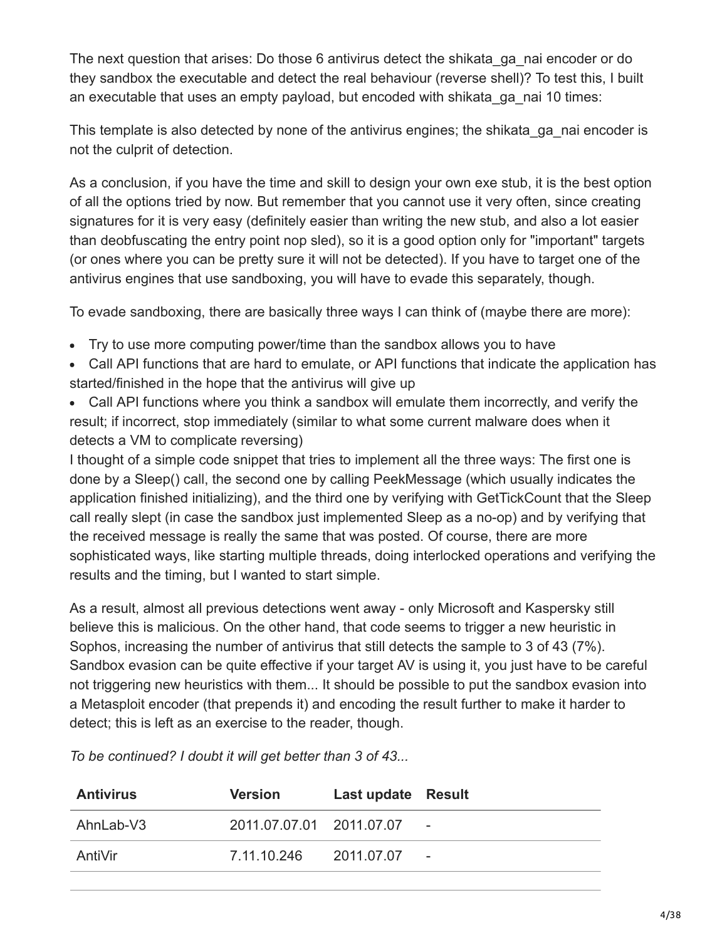The next question that arises: Do those 6 antivirus detect the shikata\_ga\_nai encoder or do they sandbox the executable and detect the real behaviour (reverse shell)? To test this, I built an executable that uses an empty payload, but encoded with shikata\_ga\_nai 10 times:

This template is also detected by none of the antivirus engines; the shikata\_ga\_nai encoder is not the culprit of detection.

As a conclusion, if you have the time and skill to design your own exe stub, it is the best option of all the options tried by now. But remember that you cannot use it very often, since creating signatures for it is very easy (definitely easier than writing the new stub, and also a lot easier than deobfuscating the entry point nop sled), so it is a good option only for "important" targets (or ones where you can be pretty sure it will not be detected). If you have to target one of the antivirus engines that use sandboxing, you will have to evade this separately, though.

To evade sandboxing, there are basically three ways I can think of (maybe there are more):

- Try to use more computing power/time than the sandbox allows you to have
- Call API functions that are hard to emulate, or API functions that indicate the application has started/finished in the hope that the antivirus will give up
- Call API functions where you think a sandbox will emulate them incorrectly, and verify the result; if incorrect, stop immediately (similar to what some current malware does when it detects a VM to complicate reversing)

I thought of a simple code snippet that tries to implement all the three ways: The first one is done by a Sleep() call, the second one by calling PeekMessage (which usually indicates the application finished initializing), and the third one by verifying with GetTickCount that the Sleep call really slept (in case the sandbox just implemented Sleep as a no-op) and by verifying that the received message is really the same that was posted. Of course, there are more sophisticated ways, like starting multiple threads, doing interlocked operations and verifying the results and the timing, but I wanted to start simple.

As a result, almost all previous detections went away - only Microsoft and Kaspersky still believe this is malicious. On the other hand, that code seems to trigger a new heuristic in Sophos, increasing the number of antivirus that still detects the sample to 3 of 43 (7%). Sandbox evasion can be quite effective if your target AV is using it, you just have to be careful not triggering new heuristics with them... It should be possible to put the sandbox evasion into a Metasploit encoder (that prepends it) and encoding the result further to make it harder to detect; this is left as an exercise to the reader, though.

*To be continued? I doubt it will get better than 3 of 43...*

| <b>Antivirus</b> | <b>Version</b>           | Last update Result |                          |
|------------------|--------------------------|--------------------|--------------------------|
| AhnLab-V3        | 2011.07.07.01 2011.07.07 |                    | $\sim$                   |
| AntiVir          | 7.11.10.246              | 2011.07.07         | $\overline{\phantom{a}}$ |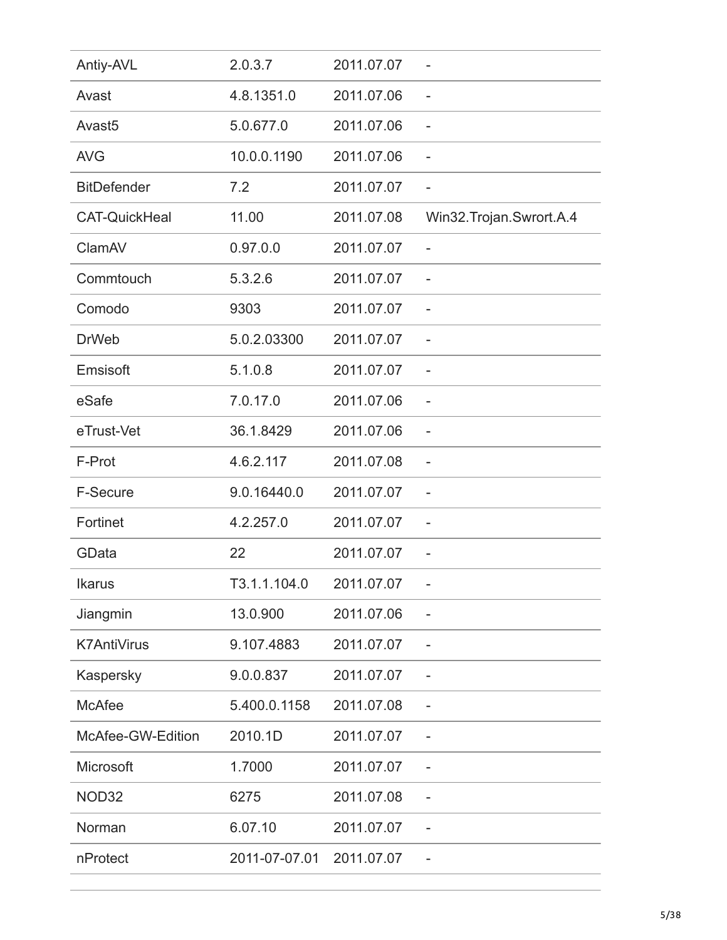| Antiy-AVL            | 2.0.3.7       | 2011.07.07 |                            |
|----------------------|---------------|------------|----------------------------|
| Avast                | 4.8.1351.0    | 2011.07.06 | $\overline{\phantom{0}}$   |
| Avast <sub>5</sub>   | 5.0.677.0     | 2011.07.06 | $\overline{\phantom{0}}$   |
| <b>AVG</b>           | 10.0.0.1190   | 2011.07.06 | $\overline{\phantom{0}}$   |
| <b>BitDefender</b>   | 7.2           | 2011.07.07 |                            |
| <b>CAT-QuickHeal</b> | 11.00         | 2011.07.08 | Win32. Trojan. Swrort. A.4 |
| ClamAV               | 0.97.0.0      | 2011.07.07 |                            |
| Commtouch            | 5.3.2.6       | 2011.07.07 |                            |
| Comodo               | 9303          | 2011.07.07 | $\overline{\phantom{a}}$   |
| <b>DrWeb</b>         | 5.0.2.03300   | 2011.07.07 | $\overline{a}$             |
| Emsisoft             | 5.1.0.8       | 2011.07.07 |                            |
| eSafe                | 7.0.17.0      | 2011.07.06 |                            |
| eTrust-Vet           | 36.1.8429     | 2011.07.06 | -                          |
| F-Prot               | 4.6.2.117     | 2011.07.08 | $\overline{\phantom{0}}$   |
| F-Secure             | 9.0.16440.0   | 2011.07.07 |                            |
| Fortinet             | 4.2.257.0     | 2011.07.07 | $\overline{\phantom{0}}$   |
| GData                | 22            | 2011.07.07 |                            |
| <b>Ikarus</b>        | T3.1.1.104.0  | 2011.07.07 |                            |
| Jiangmin             | 13.0.900      | 2011.07.06 |                            |
| <b>K7AntiVirus</b>   | 9.107.4883    | 2011.07.07 |                            |
| Kaspersky            | 9.0.0.837     | 2011.07.07 | $\overline{a}$             |
| <b>McAfee</b>        | 5.400.0.1158  | 2011.07.08 |                            |
| McAfee-GW-Edition    | 2010.1D       | 2011.07.07 |                            |
| Microsoft            | 1.7000        | 2011.07.07 |                            |
| NOD32                | 6275          | 2011.07.08 |                            |
| Norman               | 6.07.10       | 2011.07.07 |                            |
| nProtect             | 2011-07-07.01 | 2011.07.07 |                            |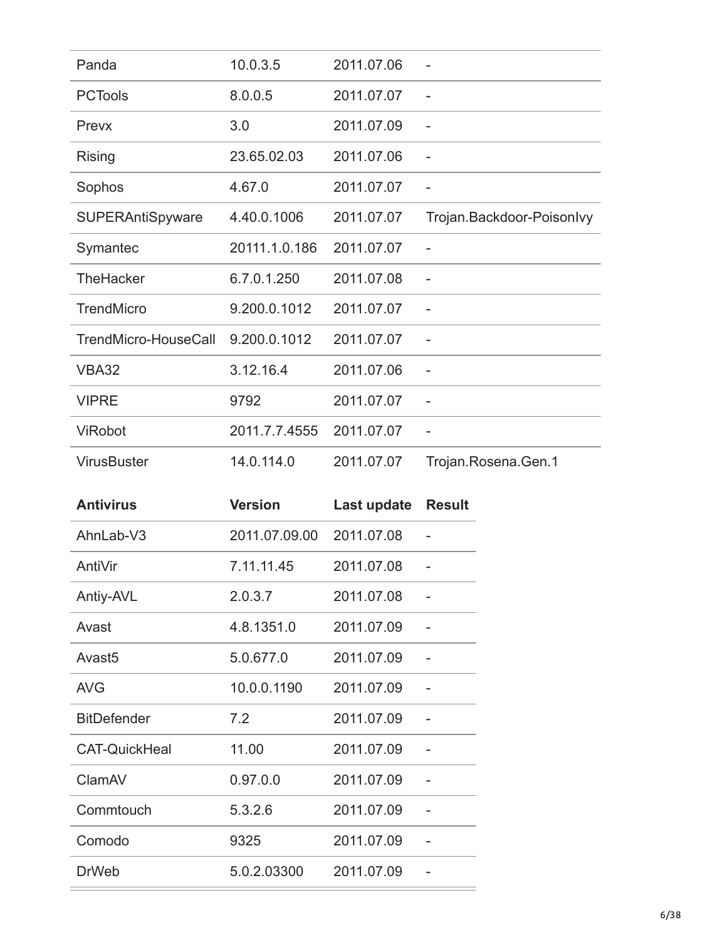| Panda                   | 10.0.3.5      | 2011.07.06 |                           |
|-------------------------|---------------|------------|---------------------------|
| <b>PCTools</b>          | 8.0.0.5       | 2011.07.07 | $\overline{\phantom{0}}$  |
| Prevx                   | 3.0           | 2011.07.09 |                           |
| Rising                  | 23.65.02.03   | 2011.07.06 | $\overline{\phantom{0}}$  |
| Sophos                  | 4.67.0        | 2011.07.07 | $\qquad \qquad -$         |
| <b>SUPERAntiSpyware</b> | 4.40.0.1006   | 2011.07.07 | Trojan.Backdoor-Poisonlvy |
| Symantec                | 20111.1.0.186 | 2011.07.07 | $\overline{\phantom{0}}$  |
| <b>TheHacker</b>        | 6.7.0.1.250   | 2011.07.08 |                           |
| <b>TrendMicro</b>       | 9.200.0.1012  | 2011.07.07 |                           |
| TrendMicro-HouseCall    | 9.200.0.1012  | 2011.07.07 | $\overline{\phantom{0}}$  |
| <b>VBA32</b>            | 3.12.16.4     | 2011.07.06 |                           |
| <b>VIPRE</b>            | 9792          | 2011.07.07 | $\qquad \qquad -$         |
| <b>ViRobot</b>          | 2011.7.7.4555 | 2011.07.07 |                           |
| <b>VirusBuster</b>      | 14.0.114.0    | 2011.07.07 | Trojan.Rosena.Gen.1       |

| <b>Antivirus</b>     | <b>Version</b> | Last update | <b>Result</b> |
|----------------------|----------------|-------------|---------------|
| AhnLab-V3            | 2011.07.09.00  | 2011.07.08  |               |
| AntiVir              | 7.11.11.45     | 2011.07.08  |               |
| Antiy-AVL            | 2.0.3.7        | 2011.07.08  |               |
| Avast                | 4.8.1351.0     | 2011.07.09  |               |
| Avast <sub>5</sub>   | 5.0.677.0      | 2011.07.09  |               |
| <b>AVG</b>           | 10.0.0.1190    | 2011.07.09  |               |
| <b>BitDefender</b>   | 7.2            | 2011.07.09  |               |
| <b>CAT-QuickHeal</b> | 11.00          | 2011.07.09  |               |
| ClamAV               | 0.97.0.0       | 2011.07.09  |               |
| Commtouch            | 5.3.2.6        | 2011.07.09  |               |
| Comodo               | 9325           | 2011.07.09  |               |
| <b>DrWeb</b>         | 5.0.2.03300    | 2011.07.09  |               |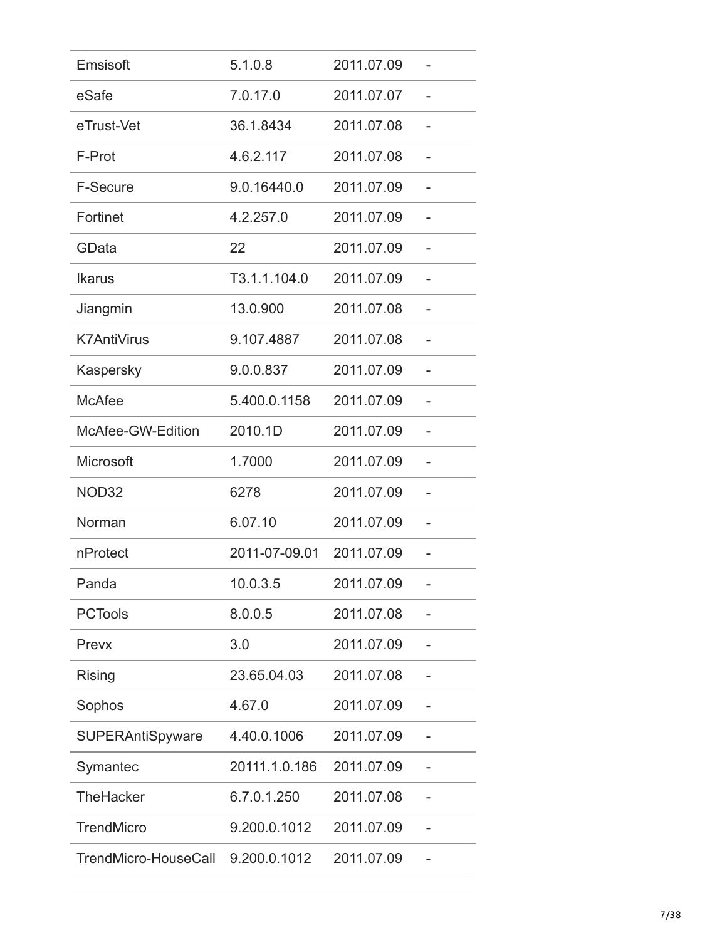| Emsisoft                | 5.1.0.8       | 2011.07.09 |  |
|-------------------------|---------------|------------|--|
| eSafe                   | 7.0.17.0      | 2011.07.07 |  |
| eTrust-Vet              | 36.1.8434     | 2011.07.08 |  |
| F-Prot                  | 4.6.2.117     | 2011.07.08 |  |
| <b>F-Secure</b>         | 9.0.16440.0   | 2011.07.09 |  |
| Fortinet                | 4.2.257.0     | 2011.07.09 |  |
| GData                   | 22            | 2011.07.09 |  |
| <b>Ikarus</b>           | T3.1.1.104.0  | 2011.07.09 |  |
| Jiangmin                | 13.0.900      | 2011.07.08 |  |
| <b>K7AntiVirus</b>      | 9.107.4887    | 2011.07.08 |  |
| Kaspersky               | 9.0.0.837     | 2011.07.09 |  |
| <b>McAfee</b>           | 5.400.0.1158  | 2011.07.09 |  |
| McAfee-GW-Edition       | 2010.1D       | 2011.07.09 |  |
| <b>Microsoft</b>        | 1.7000        | 2011.07.09 |  |
| NOD32                   | 6278          | 2011.07.09 |  |
| Norman                  | 6.07.10       | 2011.07.09 |  |
| nProtect                | 2011-07-09.01 | 2011.07.09 |  |
| Panda                   | 10.0.3.5      | 2011.07.09 |  |
| <b>PCTools</b>          | 8.0.0.5       | 2011.07.08 |  |
| Prevx                   | 3.0           | 2011.07.09 |  |
| Rising                  | 23.65.04.03   | 2011.07.08 |  |
| Sophos                  | 4.67.0        | 2011.07.09 |  |
| <b>SUPERAntiSpyware</b> | 4.40.0.1006   | 2011.07.09 |  |
| Symantec                | 20111.1.0.186 | 2011.07.09 |  |
| <b>TheHacker</b>        | 6.7.0.1.250   | 2011.07.08 |  |
| <b>TrendMicro</b>       | 9.200.0.1012  | 2011.07.09 |  |
| TrendMicro-HouseCall    | 9.200.0.1012  | 2011.07.09 |  |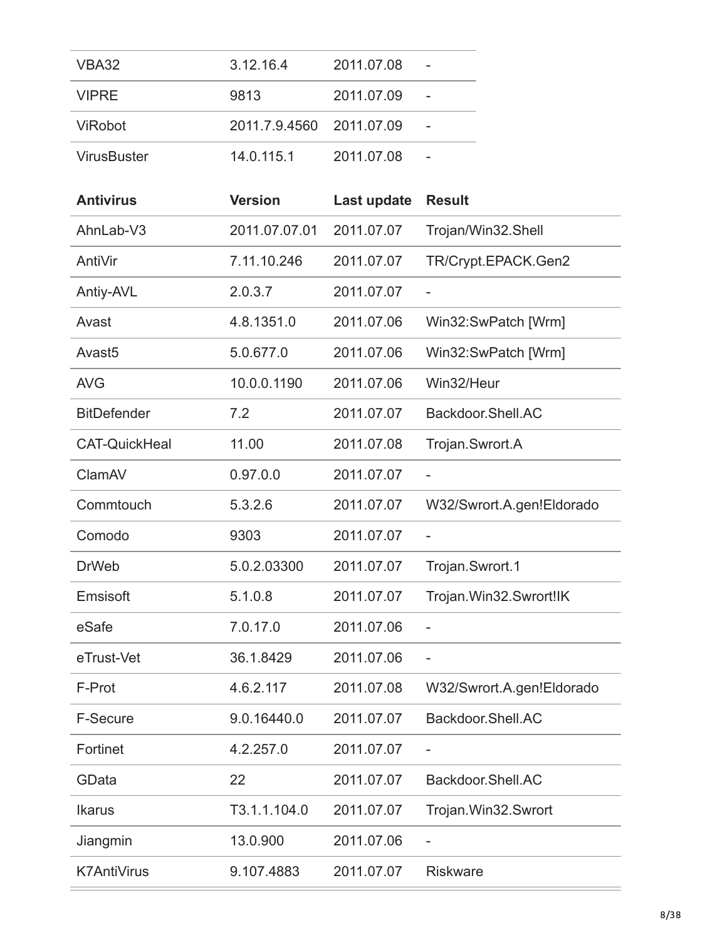| VBA32              | 3.12.16.4                | 2011.07.08 |  |
|--------------------|--------------------------|------------|--|
| <b>VIPRF</b>       | 9813                     | 2011.07.09 |  |
| <b>ViRobot</b>     | 2011.7.9.4560 2011.07.09 |            |  |
| <b>VirusBuster</b> | 14.0.115.1               | 2011.07.08 |  |

| <b>Antivirus</b>     | <b>Version</b> | Last update | <b>Result</b>             |
|----------------------|----------------|-------------|---------------------------|
| AhnLab-V3            | 2011.07.07.01  | 2011.07.07  | Trojan/Win32.Shell        |
| AntiVir              | 7.11.10.246    | 2011.07.07  | TR/Crypt.EPACK.Gen2       |
| Antiy-AVL            | 2.0.3.7        | 2011.07.07  |                           |
| Avast                | 4.8.1351.0     | 2011.07.06  | Win32:SwPatch [Wrm]       |
| Avast <sub>5</sub>   | 5.0.677.0      | 2011.07.06  | Win32:SwPatch [Wrm]       |
| <b>AVG</b>           | 10.0.0.1190    | 2011.07.06  | Win32/Heur                |
| <b>BitDefender</b>   | 7.2            | 2011.07.07  | Backdoor.Shell.AC         |
| <b>CAT-QuickHeal</b> | 11.00          | 2011.07.08  | Trojan.Swrort.A           |
| ClamAV               | 0.97.0.0       | 2011.07.07  | $\overline{\phantom{0}}$  |
| Commtouch            | 5.3.2.6        | 2011.07.07  | W32/Swrort.A.gen!Eldorado |
| Comodo               | 9303           | 2011.07.07  |                           |
| <b>DrWeb</b>         | 5.0.2.03300    | 2011.07.07  | Trojan.Swrort.1           |
| Emsisoft             | 5.1.0.8        | 2011.07.07  | Trojan.Win32.Swrort!IK    |
| eSafe                | 7.0.17.0       | 2011.07.06  |                           |
| eTrust-Vet           | 36.1.8429      | 2011.07.06  | $\overline{a}$            |
| F-Prot               | 4.6.2.117      | 2011.07.08  | W32/Swrort.A.gen!Eldorado |
| <b>F-Secure</b>      | 9.0.16440.0    | 2011.07.07  | Backdoor.Shell.AC         |
| Fortinet             | 4.2.257.0      | 2011.07.07  |                           |
| GData                | 22             | 2011.07.07  | Backdoor.Shell.AC         |
| <b>Ikarus</b>        | T3.1.1.104.0   | 2011.07.07  | Trojan.Win32.Swrort       |
| Jiangmin             | 13.0.900       | 2011.07.06  |                           |
| <b>K7AntiVirus</b>   | 9.107.4883     | 2011.07.07  | <b>Riskware</b>           |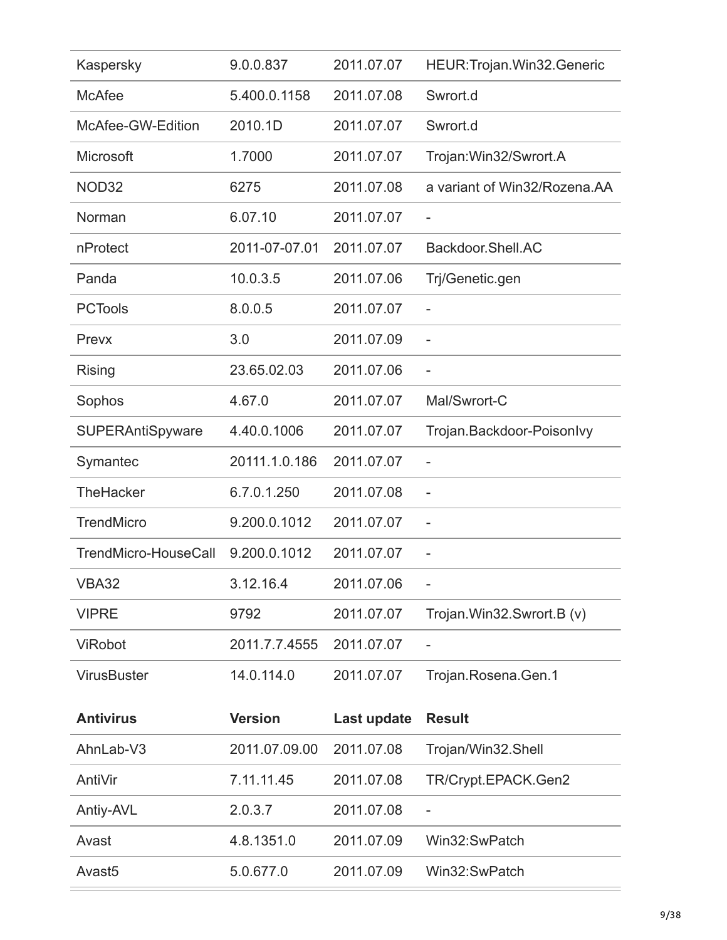| Kaspersky               | 9.0.0.837      | 2011.07.07  | HEUR: Trojan. Win32. Generic |
|-------------------------|----------------|-------------|------------------------------|
| <b>McAfee</b>           | 5.400.0.1158   | 2011.07.08  | Swrort.d                     |
| McAfee-GW-Edition       | 2010.1D        | 2011.07.07  | Swrort.d                     |
| Microsoft               | 1.7000         | 2011.07.07  | Trojan: Win32/Swrort.A       |
| NOD32                   | 6275           | 2011.07.08  | a variant of Win32/Rozena.AA |
| Norman                  | 6.07.10        | 2011.07.07  | $\overline{\phantom{a}}$     |
| nProtect                | 2011-07-07.01  | 2011.07.07  | Backdoor.Shell.AC            |
| Panda                   | 10.0.3.5       | 2011.07.06  | Trj/Genetic.gen              |
| <b>PCTools</b>          | 8.0.0.5        | 2011.07.07  | $\overline{a}$               |
| Prevx                   | 3.0            | 2011.07.09  | $\overline{a}$               |
| Rising                  | 23.65.02.03    | 2011.07.06  |                              |
| Sophos                  | 4.67.0         | 2011.07.07  | Mal/Swrort-C                 |
| <b>SUPERAntiSpyware</b> | 4.40.0.1006    | 2011.07.07  | Trojan.Backdoor-Poisonlvy    |
| Symantec                | 20111.1.0.186  | 2011.07.07  |                              |
| TheHacker               | 6.7.0.1.250    | 2011.07.08  | $\overline{a}$               |
| <b>TrendMicro</b>       | 9.200.0.1012   | 2011.07.07  | $\overline{a}$               |
| TrendMicro-HouseCall    | 9.200.0.1012   | 2011.07.07  | -                            |
| <b>VBA32</b>            | 3.12.16.4      | 2011.07.06  |                              |
| <b>VIPRE</b>            | 9792           | 2011.07.07  | Trojan.Win32.Swrort.B (v)    |
| <b>ViRobot</b>          | 2011.7.7.4555  | 2011.07.07  |                              |
| <b>VirusBuster</b>      | 14.0.114.0     | 2011.07.07  | Trojan.Rosena.Gen.1          |
| <b>Antivirus</b>        | <b>Version</b> | Last update | <b>Result</b>                |
| AhnLab-V3               | 2011.07.09.00  | 2011.07.08  | Trojan/Win32.Shell           |
| AntiVir                 | 7.11.11.45     | 2011.07.08  | TR/Crypt.EPACK.Gen2          |
| Antiy-AVL               | 2.0.3.7        | 2011.07.08  |                              |
| Avast                   | 4.8.1351.0     | 2011.07.09  | Win32:SwPatch                |
| Avast <sub>5</sub>      | 5.0.677.0      | 2011.07.09  | Win32:SwPatch                |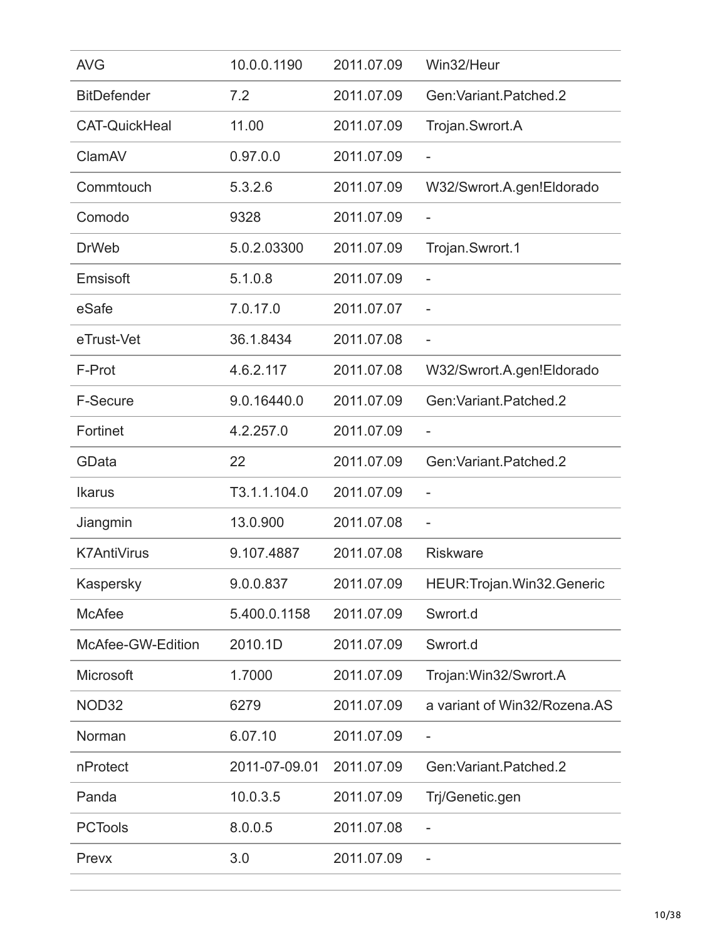| <b>AVG</b>           | 10.0.0.1190   | 2011.07.09 | Win32/Heur                   |
|----------------------|---------------|------------|------------------------------|
| <b>BitDefender</b>   | 7.2           | 2011.07.09 | Gen: Variant, Patched, 2     |
| <b>CAT-QuickHeal</b> | 11.00         | 2011.07.09 | Trojan.Swrort.A              |
| ClamAV               | 0.97.0.0      | 2011.07.09 | $\overline{\phantom{0}}$     |
| Commtouch            | 5.3.2.6       | 2011.07.09 | W32/Swrort.A.gen!Eldorado    |
| Comodo               | 9328          | 2011.07.09 |                              |
| <b>DrWeb</b>         | 5.0.2.03300   | 2011.07.09 | Trojan.Swrort.1              |
| Emsisoft             | 5.1.0.8       | 2011.07.09 |                              |
| eSafe                | 7.0.17.0      | 2011.07.07 | $\overline{a}$               |
| eTrust-Vet           | 36.1.8434     | 2011.07.08 |                              |
| F-Prot               | 4.6.2.117     | 2011.07.08 | W32/Swrort.A.gen!Eldorado    |
| <b>F-Secure</b>      | 9.0.16440.0   | 2011.07.09 | Gen: Variant. Patched. 2     |
| Fortinet             | 4.2.257.0     | 2011.07.09 |                              |
| GData                | 22            | 2011.07.09 | Gen: Variant, Patched, 2     |
| <b>Ikarus</b>        | T3.1.1.104.0  | 2011.07.09 |                              |
| Jiangmin             | 13.0.900      | 2011.07.08 | $\overline{a}$               |
| <b>K7AntiVirus</b>   | 9.107.4887    | 2011.07.08 | <b>Riskware</b>              |
| Kaspersky            | 9.0.0.837     | 2011.07.09 | HEUR: Trojan. Win32. Generic |
| <b>McAfee</b>        | 5.400.0.1158  | 2011.07.09 | Swrort.d                     |
| McAfee-GW-Edition    | 2010.1D       | 2011.07.09 | Swrort.d                     |
| Microsoft            | 1.7000        | 2011.07.09 | Trojan: Win32/Swrort.A       |
| NOD32                | 6279          | 2011.07.09 | a variant of Win32/Rozena.AS |
| Norman               | 6.07.10       | 2011.07.09 | -                            |
| nProtect             | 2011-07-09.01 | 2011.07.09 | Gen: Variant. Patched. 2     |
| Panda                | 10.0.3.5      | 2011.07.09 | Trj/Genetic.gen              |
| <b>PCTools</b>       | 8.0.0.5       | 2011.07.08 |                              |
| Prevx                | 3.0           | 2011.07.09 | -                            |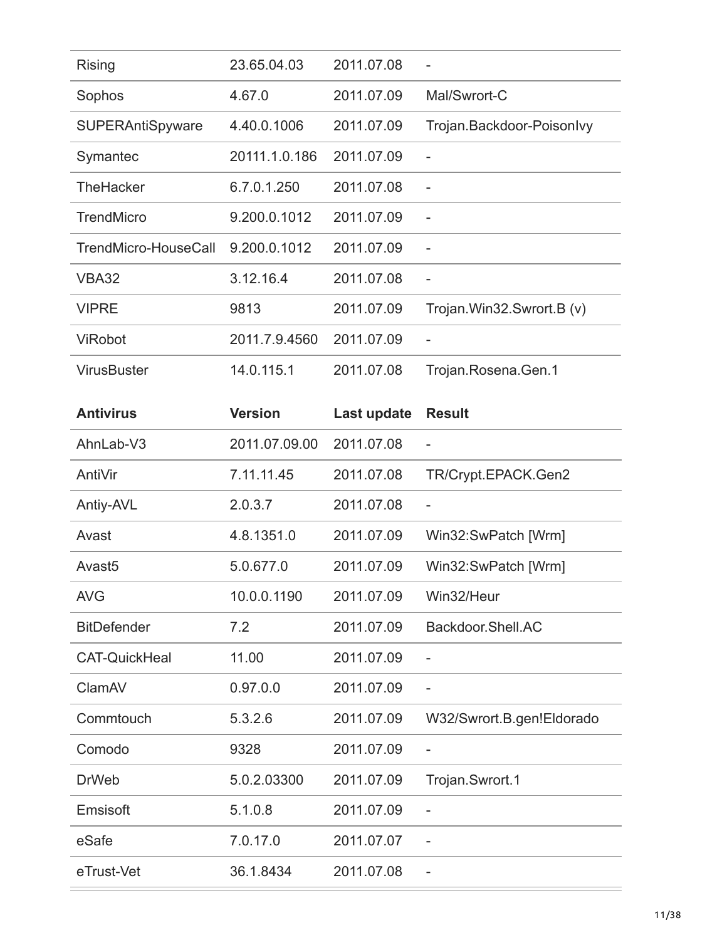| <b>Rising</b>           | 23.65.04.03   | 2011.07.08 |                              |
|-------------------------|---------------|------------|------------------------------|
| Sophos                  | 4.67.0        | 2011.07.09 | Mal/Swrort-C                 |
| <b>SUPERAntiSpyware</b> | 4.40.0.1006   | 2011.07.09 | Trojan.Backdoor-Poisonlvy    |
| Symantec                | 20111.1.0.186 | 2011.07.09 |                              |
| <b>TheHacker</b>        | 6.7.0.1.250   | 2011.07.08 |                              |
| <b>TrendMicro</b>       | 9.200.0.1012  | 2011.07.09 |                              |
| TrendMicro-HouseCall    | 9.200.0.1012  | 2011.07.09 |                              |
| VBA32                   | 3.12.16.4     | 2011.07.08 |                              |
| <b>VIPRE</b>            | 9813          | 2011.07.09 | Trojan. Win32. Swrort. B (v) |
| <b>ViRobot</b>          | 2011.7.9.4560 | 2011.07.09 |                              |
| <b>VirusBuster</b>      | 14.0.115.1    | 2011.07.08 | Trojan.Rosena.Gen.1          |

| <b>Antivirus</b>     | <b>Version</b> | Last update | <b>Result</b>             |
|----------------------|----------------|-------------|---------------------------|
| AhnLab-V3            | 2011.07.09.00  | 2011.07.08  |                           |
| AntiVir              | 7.11.11.45     | 2011.07.08  | TR/Crypt.EPACK.Gen2       |
| Antiy-AVL            | 2.0.3.7        | 2011.07.08  | $\overline{\phantom{a}}$  |
| Avast                | 4.8.1351.0     | 2011.07.09  | Win32:SwPatch [Wrm]       |
| Avast <sub>5</sub>   | 5.0.677.0      | 2011.07.09  | Win32:SwPatch [Wrm]       |
| <b>AVG</b>           | 10.0.0.1190    | 2011.07.09  | Win32/Heur                |
| <b>BitDefender</b>   | 7.2            | 2011.07.09  | Backdoor.Shell.AC         |
| <b>CAT-QuickHeal</b> | 11.00          | 2011.07.09  |                           |
| ClamAV               | 0.97.0.0       | 2011.07.09  |                           |
| Commtouch            | 5.3.2.6        | 2011.07.09  | W32/Swrort.B.gen!Eldorado |
| Comodo               | 9328           | 2011.07.09  |                           |
| <b>DrWeb</b>         | 5.0.2.03300    | 2011.07.09  | Trojan.Swrort.1           |
| Emsisoft             | 5.1.0.8        | 2011.07.09  | $\overline{a}$            |
| eSafe                | 7.0.17.0       | 2011.07.07  | $\overline{a}$            |
| eTrust-Vet           | 36.1.8434      | 2011.07.08  |                           |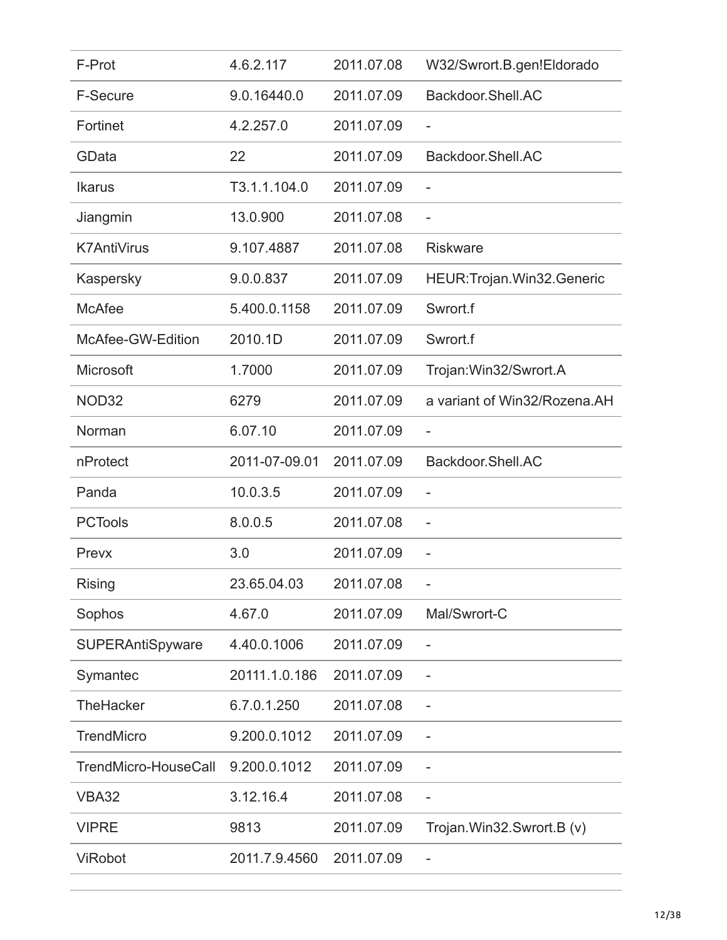| F-Prot                  | 4.6.2.117     | 2011.07.08 | W32/Swrort.B.gen!Eldorado    |
|-------------------------|---------------|------------|------------------------------|
| <b>F-Secure</b>         | 9.0.16440.0   | 2011.07.09 | Backdoor.Shell.AC            |
| Fortinet                | 4.2.257.0     | 2011.07.09 | $\overline{a}$               |
| GData                   | 22            | 2011.07.09 | Backdoor.Shell.AC            |
| <b>Ikarus</b>           | T3.1.1.104.0  | 2011.07.09 | $\overline{\phantom{0}}$     |
| Jiangmin                | 13.0.900      | 2011.07.08 | $\overline{\phantom{0}}$     |
| <b>K7AntiVirus</b>      | 9.107.4887    | 2011.07.08 | <b>Riskware</b>              |
| Kaspersky               | 9.0.0.837     | 2011.07.09 | HEUR: Trojan. Win32. Generic |
| <b>McAfee</b>           | 5.400.0.1158  | 2011.07.09 | Swrort.f                     |
| McAfee-GW-Edition       | 2010.1D       | 2011.07.09 | Swrort.f                     |
| <b>Microsoft</b>        | 1.7000        | 2011.07.09 | Trojan: Win32/Swrort.A       |
| NOD32                   | 6279          | 2011.07.09 | a variant of Win32/Rozena.AH |
| Norman                  | 6.07.10       | 2011.07.09 | $\overline{\phantom{a}}$     |
| nProtect                | 2011-07-09.01 | 2011.07.09 | Backdoor.Shell.AC            |
| Panda                   | 10.0.3.5      | 2011.07.09 |                              |
| <b>PCTools</b>          | 8.0.0.5       | 2011.07.08 | $\overline{\phantom{a}}$     |
| Prevx                   | 3.0           | 2011.07.09 |                              |
| Rising                  | 23.65.04.03   | 2011.07.08 |                              |
| Sophos                  | 4.67.0        | 2011.07.09 | Mal/Swrort-C                 |
| <b>SUPERAntiSpyware</b> | 4.40.0.1006   | 2011.07.09 | $\qquad \qquad -$            |
| Symantec                | 20111.1.0.186 | 2011.07.09 | $\overline{a}$               |
| <b>TheHacker</b>        | 6.7.0.1.250   | 2011.07.08 |                              |
| <b>TrendMicro</b>       | 9.200.0.1012  | 2011.07.09 |                              |
| TrendMicro-HouseCall    | 9.200.0.1012  | 2011.07.09 |                              |
| <b>VBA32</b>            | 3.12.16.4     | 2011.07.08 | $\qquad \qquad -$            |
| <b>VIPRE</b>            | 9813          | 2011.07.09 | Trojan.Win32.Swrort.B (v)    |
| <b>ViRobot</b>          | 2011.7.9.4560 | 2011.07.09 | -                            |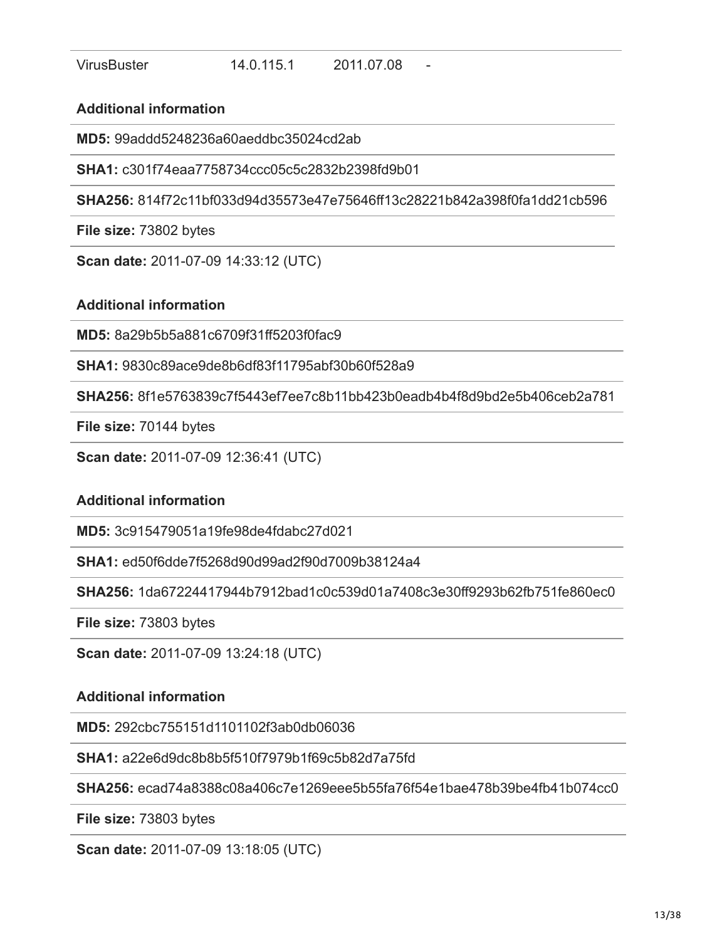**MD5:** 99addd5248236a60aeddbc35024cd2ab

**SHA1:** c301f74eaa7758734ccc05c5c2832b2398fd9b01

**SHA256:** 814f72c11bf033d94d35573e47e75646ff13c28221b842a398f0fa1dd21cb596

**File size:** 73802 bytes

**Scan date:** 2011-07-09 14:33:12 (UTC)

#### **Additional information**

**MD5:** 8a29b5b5a881c6709f31ff5203f0fac9

**SHA1:** 9830c89ace9de8b6df83f11795abf30b60f528a9

**SHA256:** 8f1e5763839c7f5443ef7ee7c8b11bb423b0eadb4b4f8d9bd2e5b406ceb2a781

**File size:** 70144 bytes

**Scan date:** 2011-07-09 12:36:41 (UTC)

#### **Additional information**

**MD5:** 3c915479051a19fe98de4fdabc27d021

**SHA1:** ed50f6dde7f5268d90d99ad2f90d7009b38124a4

**SHA256:** 1da67224417944b7912bad1c0c539d01a7408c3e30ff9293b62fb751fe860ec0

**File size:** 73803 bytes

**Scan date:** 2011-07-09 13:24:18 (UTC)

# **Additional information**

**MD5:** 292cbc755151d1101102f3ab0db06036

**SHA1:** a22e6d9dc8b8b5f510f7979b1f69c5b82d7a75fd

**SHA256:** ecad74a8388c08a406c7e1269eee5b55fa76f54e1bae478b39be4fb41b074cc0

**File size:** 73803 bytes

**Scan date:** 2011-07-09 13:18:05 (UTC)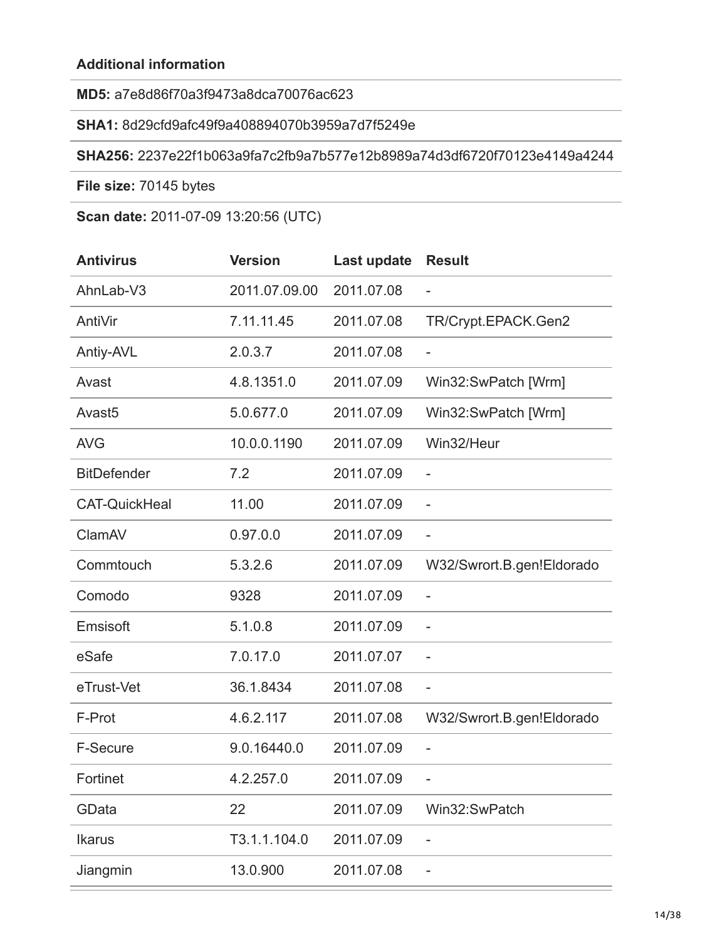# **MD5:** a7e8d86f70a3f9473a8dca70076ac623

#### **SHA1:** 8d29cfd9afc49f9a408894070b3959a7d7f5249e

#### **SHA256:** 2237e22f1b063a9fa7c2fb9a7b577e12b8989a74d3df6720f70123e4149a4244

**File size:** 70145 bytes

**Scan date:** 2011-07-09 13:20:56 (UTC)

| <b>Antivirus</b>     | <b>Version</b> | Last update | <b>Result</b>             |
|----------------------|----------------|-------------|---------------------------|
| AhnLab-V3            | 2011.07.09.00  | 2011.07.08  | $\overline{\phantom{a}}$  |
| AntiVir              | 7.11.11.45     | 2011.07.08  | TR/Crypt.EPACK.Gen2       |
| Antiy-AVL            | 2.0.3.7        | 2011.07.08  | $\overline{\phantom{a}}$  |
| Avast                | 4.8.1351.0     | 2011.07.09  | Win32:SwPatch [Wrm]       |
| Avast <sub>5</sub>   | 5.0.677.0      | 2011.07.09  | Win32:SwPatch [Wrm]       |
| <b>AVG</b>           | 10.0.0.1190    | 2011.07.09  | Win32/Heur                |
| <b>BitDefender</b>   | 7.2            | 2011.07.09  | $\qquad \qquad -$         |
| <b>CAT-QuickHeal</b> | 11.00          | 2011.07.09  | $\qquad \qquad -$         |
| ClamAV               | 0.97.0.0       | 2011.07.09  | $\overline{\phantom{0}}$  |
| Commtouch            | 5.3.2.6        | 2011.07.09  | W32/Swrort.B.gen!Eldorado |
| Comodo               | 9328           | 2011.07.09  | $\overline{\phantom{a}}$  |
| Emsisoft             | 5.1.0.8        | 2011.07.09  | $\overline{\phantom{0}}$  |
| eSafe                | 7.0.17.0       | 2011.07.07  |                           |
| eTrust-Vet           | 36.1.8434      | 2011.07.08  | $\overline{\phantom{a}}$  |
| F-Prot               | 4.6.2.117      | 2011.07.08  | W32/Swrort.B.gen!Eldorado |
| F-Secure             | 9.0.16440.0    | 2011.07.09  | $\overline{\phantom{0}}$  |
| Fortinet             | 4.2.257.0      | 2011.07.09  | $\overline{\phantom{a}}$  |
| GData                | 22             | 2011.07.09  | Win32:SwPatch             |
| <b>Ikarus</b>        | T3.1.1.104.0   | 2011.07.09  | $\overline{\phantom{0}}$  |
| Jiangmin             | 13.0.900       | 2011.07.08  |                           |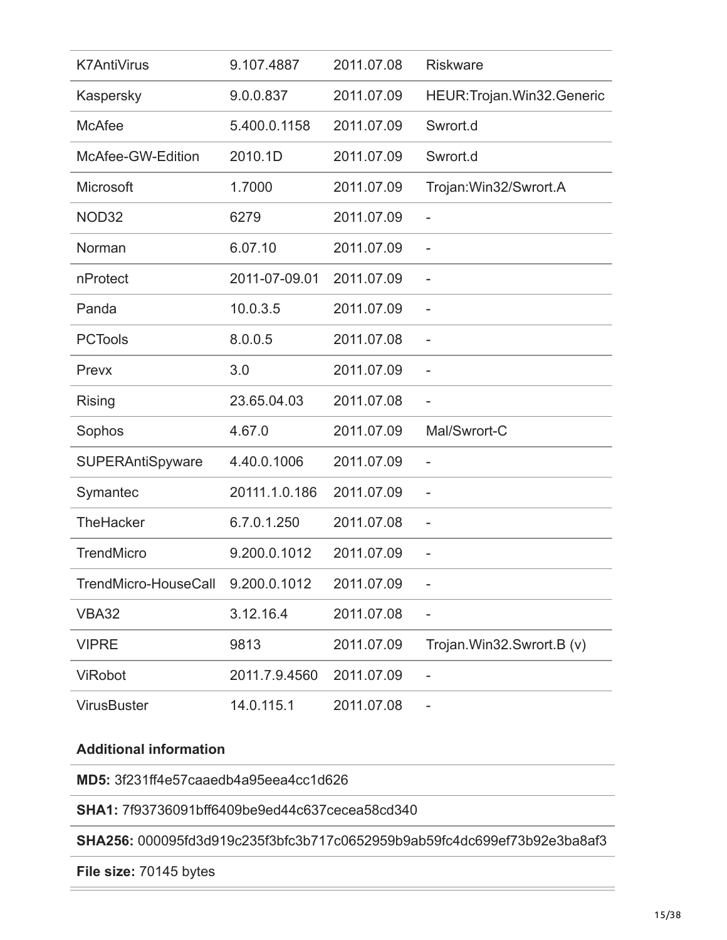| <b>K7AntiVirus</b>                | 9.107.4887    | 2011.07.08 | <b>Riskware</b>              |
|-----------------------------------|---------------|------------|------------------------------|
| Kaspersky                         | 9.0.0.837     | 2011.07.09 | HEUR: Trojan. Win32. Generic |
| <b>McAfee</b>                     | 5.400.0.1158  | 2011.07.09 | Swrort.d                     |
| McAfee-GW-Edition                 | 2010.1D       | 2011.07.09 | Swrort.d                     |
| Microsoft                         | 1.7000        | 2011.07.09 | Trojan: Win32/Swrort.A       |
| NOD32                             | 6279          | 2011.07.09 | $\overline{a}$               |
| Norman                            | 6.07.10       | 2011.07.09 |                              |
| nProtect                          | 2011-07-09.01 | 2011.07.09 | $\qquad \qquad -$            |
| Panda                             | 10.0.3.5      | 2011.07.09 | $\overline{a}$               |
| <b>PCTools</b>                    | 8.0.0.5       | 2011.07.08 |                              |
| Prevx                             | 3.0           | 2011.07.09 |                              |
| <b>Rising</b>                     | 23.65.04.03   | 2011.07.08 | $\overline{\phantom{0}}$     |
| Sophos                            | 4.67.0        | 2011.07.09 | Mal/Swrort-C                 |
| <b>SUPERAntiSpyware</b>           | 4.40.0.1006   | 2011.07.09 |                              |
| Symantec                          | 20111.1.0.186 | 2011.07.09 | $\qquad \qquad -$            |
| <b>TheHacker</b>                  | 6.7.0.1.250   | 2011.07.08 | $\overline{a}$               |
| <b>TrendMicro</b>                 | 9.200.0.1012  | 2011.07.09 |                              |
| TrendMicro-HouseCall 9.200.0.1012 |               | 2011.07.09 |                              |
| <b>VBA32</b>                      | 3.12.16.4     | 2011.07.08 |                              |
| <b>VIPRE</b>                      | 9813          | 2011.07.09 | Trojan.Win32.Swrort.B (v)    |
| <b>ViRobot</b>                    | 2011.7.9.4560 | 2011.07.09 | $\overline{a}$               |
| <b>VirusBuster</b>                | 14.0.115.1    | 2011.07.08 |                              |

**MD5:** 3f231ff4e57caaedb4a95eea4cc1d626

**SHA1:** 7f93736091bff6409be9ed44c637cecea58cd340

**SHA256:** 000095fd3d919c235f3bfc3b717c0652959b9ab59fc4dc699ef73b92e3ba8af3

**File size:** 70145 bytes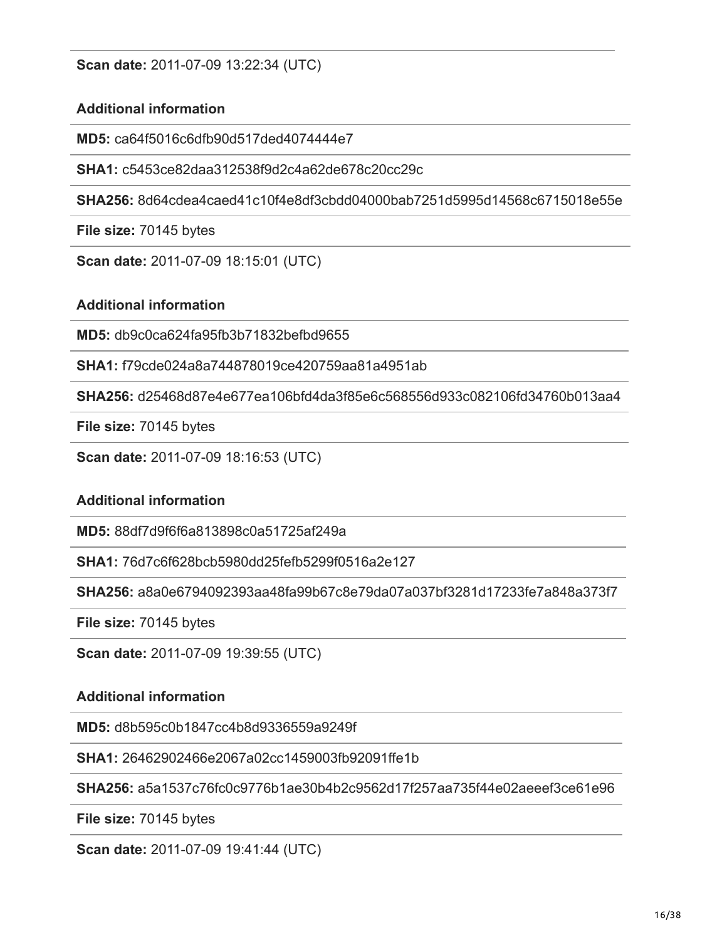**Scan date:** 2011-07-09 13:22:34 (UTC)

# **Additional information**

**MD5:** ca64f5016c6dfb90d517ded4074444e7

**SHA1:** c5453ce82daa312538f9d2c4a62de678c20cc29c

**SHA256:** 8d64cdea4caed41c10f4e8df3cbdd04000bab7251d5995d14568c6715018e55e

**File size:** 70145 bytes

**Scan date:** 2011-07-09 18:15:01 (UTC)

# **Additional information**

**MD5:** db9c0ca624fa95fb3b71832befbd9655

**SHA1:** f79cde024a8a744878019ce420759aa81a4951ab

**SHA256:** d25468d87e4e677ea106bfd4da3f85e6c568556d933c082106fd34760b013aa4

**File size:** 70145 bytes

**Scan date:** 2011-07-09 18:16:53 (UTC)

# **Additional information**

**MD5:** 88df7d9f6f6a813898c0a51725af249a

**SHA1:** 76d7c6f628bcb5980dd25fefb5299f0516a2e127

**SHA256:** a8a0e6794092393aa48fa99b67c8e79da07a037bf3281d17233fe7a848a373f7

**File size:** 70145 bytes

**Scan date:** 2011-07-09 19:39:55 (UTC)

# **Additional information**

**MD5:** d8b595c0b1847cc4b8d9336559a9249f

**SHA1:** 26462902466e2067a02cc1459003fb92091ffe1b

**SHA256:** a5a1537c76fc0c9776b1ae30b4b2c9562d17f257aa735f44e02aeeef3ce61e96

**File size:** 70145 bytes

**Scan date:** 2011-07-09 19:41:44 (UTC)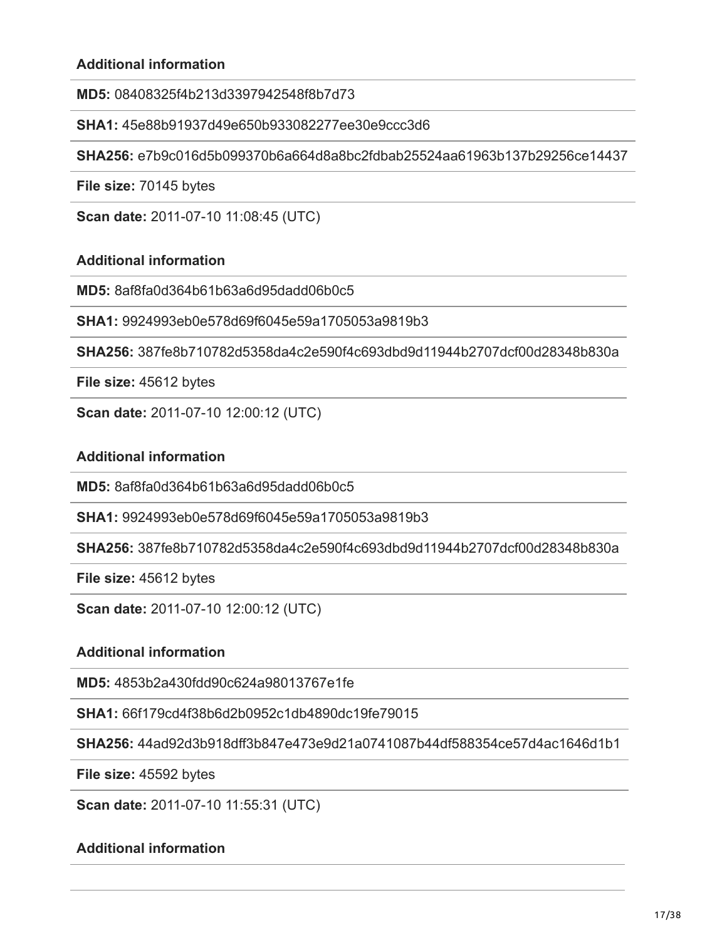**MD5:** 08408325f4b213d3397942548f8b7d73

**SHA1:** 45e88b91937d49e650b933082277ee30e9ccc3d6

**SHA256:** e7b9c016d5b099370b6a664d8a8bc2fdbab25524aa61963b137b29256ce14437

**File size:** 70145 bytes

**Scan date:** 2011-07-10 11:08:45 (UTC)

#### **Additional information**

**MD5:** 8af8fa0d364b61b63a6d95dadd06b0c5

**SHA1:** 9924993eb0e578d69f6045e59a1705053a9819b3

**SHA256:** 387fe8b710782d5358da4c2e590f4c693dbd9d11944b2707dcf00d28348b830a

**File size:** 45612 bytes

**Scan date:** 2011-07-10 12:00:12 (UTC)

#### **Additional information**

**MD5:** 8af8fa0d364b61b63a6d95dadd06b0c5

**SHA1:** 9924993eb0e578d69f6045e59a1705053a9819b3

**SHA256:** 387fe8b710782d5358da4c2e590f4c693dbd9d11944b2707dcf00d28348b830a

**File size:** 45612 bytes

**Scan date:** 2011-07-10 12:00:12 (UTC)

#### **Additional information**

**MD5:** 4853b2a430fdd90c624a98013767e1fe

**SHA1:** 66f179cd4f38b6d2b0952c1db4890dc19fe79015

**SHA256:** 44ad92d3b918dff3b847e473e9d21a0741087b44df588354ce57d4ac1646d1b1

**File size:** 45592 bytes

**Scan date:** 2011-07-10 11:55:31 (UTC)

#### **Additional information**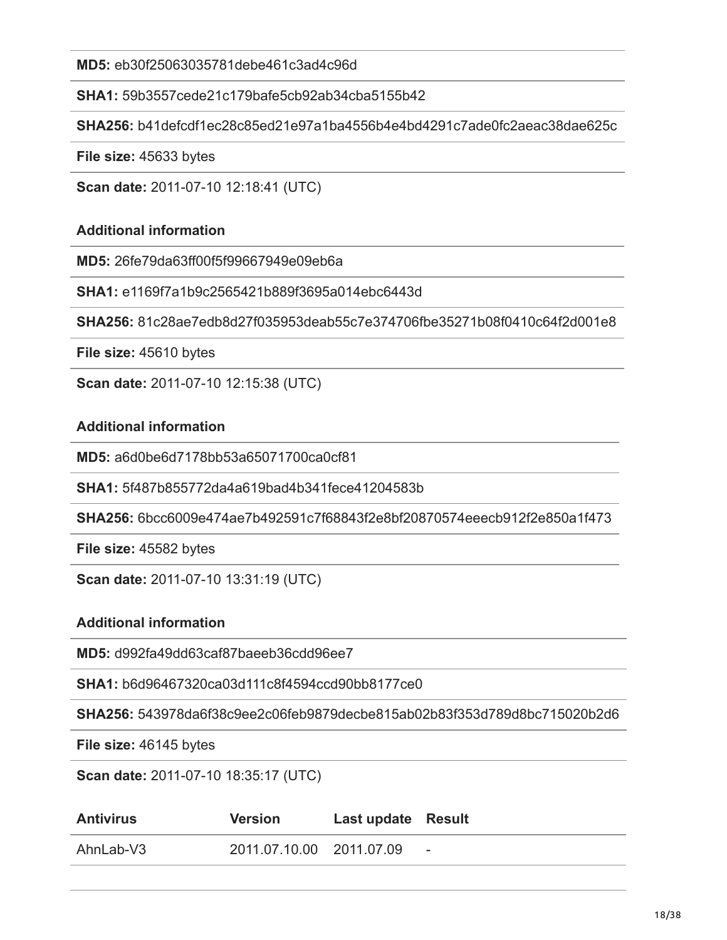**MD5:** eb30f25063035781debe461c3ad4c96d

**SHA1:** 59b3557cede21c179bafe5cb92ab34cba5155b42

**SHA256:** b41defcdf1ec28c85ed21e97a1ba4556b4e4bd4291c7ade0fc2aeac38dae625c

**File size:** 45633 bytes

**Scan date:** 2011-07-10 12:18:41 (UTC)

#### **Additional information**

**MD5:** 26fe79da63ff00f5f99667949e09eb6a

**SHA1:** e1169f7a1b9c2565421b889f3695a014ebc6443d

**SHA256:** 81c28ae7edb8d27f035953deab55c7e374706fbe35271b08f0410c64f2d001e8

**File size:** 45610 bytes

**Scan date:** 2011-07-10 12:15:38 (UTC)

#### **Additional information**

**MD5:** a6d0be6d7178bb53a65071700ca0cf81

**SHA1:** 5f487b855772da4a619bad4b341fece41204583b

**SHA256:** 6bcc6009e474ae7b492591c7f68843f2e8bf20870574eeecb912f2e850a1f473

**File size:** 45582 bytes

**Scan date:** 2011-07-10 13:31:19 (UTC)

#### **Additional information**

**MD5:** d992fa49dd63caf87baeeb36cdd96ee7

**SHA1:** b6d96467320ca03d111c8f4594ccd90bb8177ce0

**SHA256:** 543978da6f38c9ee2c06feb9879decbe815ab02b83f353d789d8bc715020b2d6

**File size:** 46145 bytes

**Scan date:** 2011-07-10 18:35:17 (UTC)

| <b>Antivirus</b> | <b>Version</b>           | Last update Result |                          |
|------------------|--------------------------|--------------------|--------------------------|
| AhnLab-V3        | 2011.07.10.00 2011.07.09 |                    | $\overline{\phantom{a}}$ |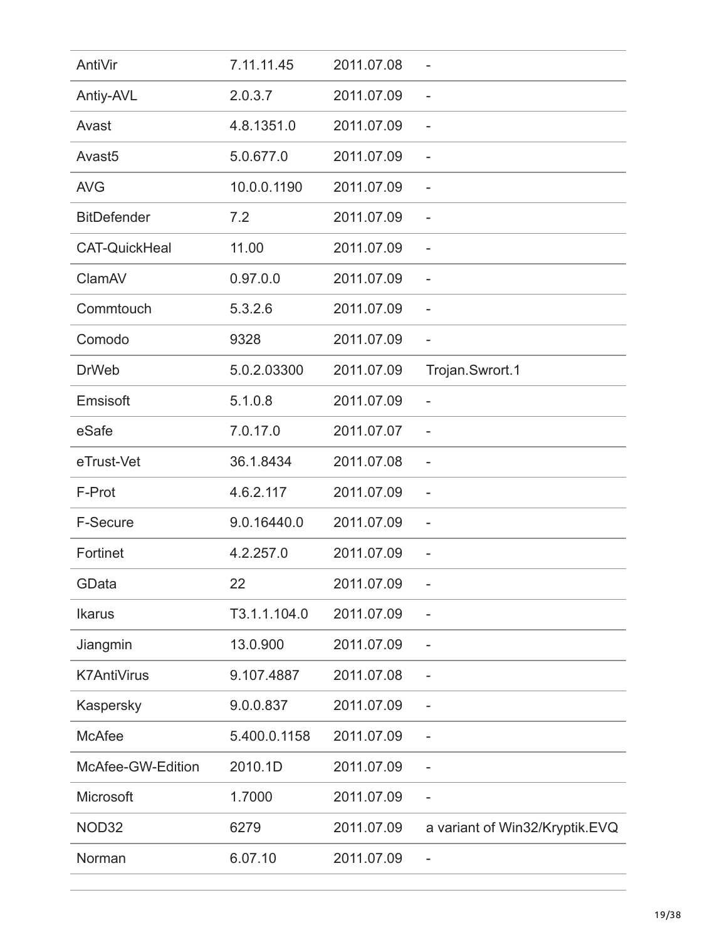| AntiVir              | 7.11.11.45   | 2011.07.08 |                                |
|----------------------|--------------|------------|--------------------------------|
| Antiy-AVL            | 2.0.3.7      | 2011.07.09 | $\qquad \qquad -$              |
| Avast                | 4.8.1351.0   | 2011.07.09 | $\overline{\phantom{0}}$       |
| Avast <sub>5</sub>   | 5.0.677.0    | 2011.07.09 | $\overline{\phantom{a}}$       |
| <b>AVG</b>           | 10.0.0.1190  | 2011.07.09 | $\overline{\phantom{a}}$       |
| <b>BitDefender</b>   | 7.2          | 2011.07.09 | $\overline{\phantom{a}}$       |
| <b>CAT-QuickHeal</b> | 11.00        | 2011.07.09 | $\overline{\phantom{a}}$       |
| ClamAV               | 0.97.0.0     | 2011.07.09 | $\qquad \qquad -$              |
| Commtouch            | 5.3.2.6      | 2011.07.09 | $\overline{\phantom{a}}$       |
| Comodo               | 9328         | 2011.07.09 | $\overline{\phantom{0}}$       |
| <b>DrWeb</b>         | 5.0.2.03300  | 2011.07.09 | Trojan.Swrort.1                |
| Emsisoft             | 5.1.0.8      | 2011.07.09 | $\overline{\phantom{a}}$       |
| eSafe                | 7.0.17.0     | 2011.07.07 | $\qquad \qquad -$              |
| eTrust-Vet           | 36.1.8434    | 2011.07.08 | $\overline{\phantom{a}}$       |
| F-Prot               | 4.6.2.117    | 2011.07.09 | $\qquad \qquad -$              |
| <b>F-Secure</b>      | 9.0.16440.0  | 2011.07.09 | $\overline{\phantom{a}}$       |
| Fortinet             | 4.2.257.0    | 2011.07.09 |                                |
| GData                | 22           | 2011.07.09 |                                |
| <b>Ikarus</b>        | T3.1.1.104.0 | 2011.07.09 |                                |
| Jiangmin             | 13.0.900     | 2011.07.09 | $\overline{\phantom{a}}$       |
| <b>K7AntiVirus</b>   | 9.107.4887   | 2011.07.08 | $\overline{\phantom{a}}$       |
| Kaspersky            | 9.0.0.837    | 2011.07.09 |                                |
| <b>McAfee</b>        | 5.400.0.1158 | 2011.07.09 | $\overline{\phantom{a}}$       |
| McAfee-GW-Edition    | 2010.1D      | 2011.07.09 | $\overline{\phantom{a}}$       |
| Microsoft            | 1.7000       | 2011.07.09 | $\overline{\phantom{a}}$       |
| NOD32                | 6279         | 2011.07.09 | a variant of Win32/Kryptik.EVQ |
| Norman               | 6.07.10      | 2011.07.09 |                                |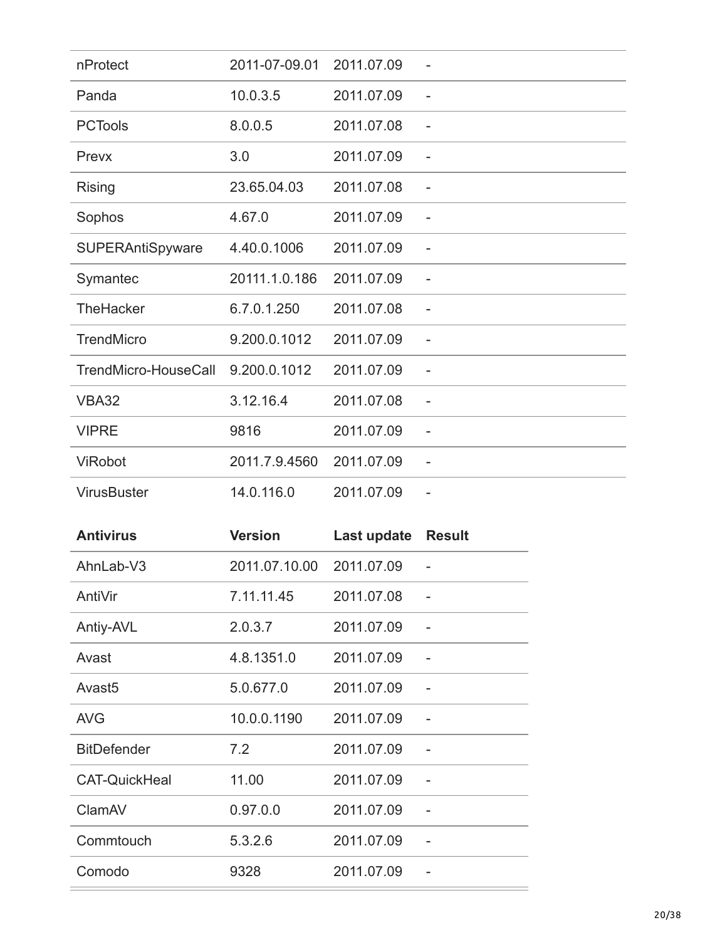| nProtect             | 2011-07-09.01 | 2011.07.09 |                          |
|----------------------|---------------|------------|--------------------------|
| Panda                | 10.0.3.5      | 2011.07.09 | $\overline{\phantom{a}}$ |
| <b>PCTools</b>       | 8.0.0.5       | 2011.07.08 | $\overline{\phantom{a}}$ |
| Prevx                | 3.0           | 2011.07.09 | $\overline{\phantom{a}}$ |
| <b>Rising</b>        | 23.65.04.03   | 2011.07.08 |                          |
| Sophos               | 4.67.0        | 2011.07.09 | $\overline{\phantom{a}}$ |
| SUPERAntiSpyware     | 4.40.0.1006   | 2011.07.09 | $\overline{\phantom{0}}$ |
| Symantec             | 20111.1.0.186 | 2011.07.09 | $\overline{\phantom{a}}$ |
| <b>TheHacker</b>     | 6.7.0.1.250   | 2011.07.08 | $\overline{\phantom{a}}$ |
| <b>TrendMicro</b>    | 9.200.0.1012  | 2011.07.09 | $\overline{\phantom{a}}$ |
| TrendMicro-HouseCall | 9.200.0.1012  | 2011.07.09 | $\qquad \qquad -$        |
| <b>VBA32</b>         | 3.12.16.4     | 2011.07.08 |                          |
| <b>VIPRE</b>         | 9816          | 2011.07.09 |                          |
| ViRobot              | 2011.7.9.4560 | 2011.07.09 | $\qquad \qquad -$        |
| <b>VirusBuster</b>   | 14.0.116.0    | 2011.07.09 | $\qquad \qquad -$        |

| <b>Antivirus</b>     | <b>Version</b> | Last update | <b>Result</b> |
|----------------------|----------------|-------------|---------------|
| AhnLab-V3            | 2011.07.10.00  | 2011.07.09  |               |
| AntiVir              | 7.11.11.45     | 2011.07.08  |               |
| Antiy-AVL            | 2.0.3.7        | 2011.07.09  |               |
| Avast                | 4.8.1351.0     | 2011.07.09  |               |
| Avast <sub>5</sub>   | 5.0.677.0      | 2011.07.09  |               |
| <b>AVG</b>           | 10.0.0.1190    | 2011.07.09  |               |
| <b>BitDefender</b>   | 7.2            | 2011.07.09  |               |
| <b>CAT-QuickHeal</b> | 11.00          | 2011.07.09  |               |
| ClamAV               | 0.97.0.0       | 2011.07.09  |               |
| Commtouch            | 5.3.2.6        | 2011.07.09  |               |
| Comodo               | 9328           | 2011.07.09  |               |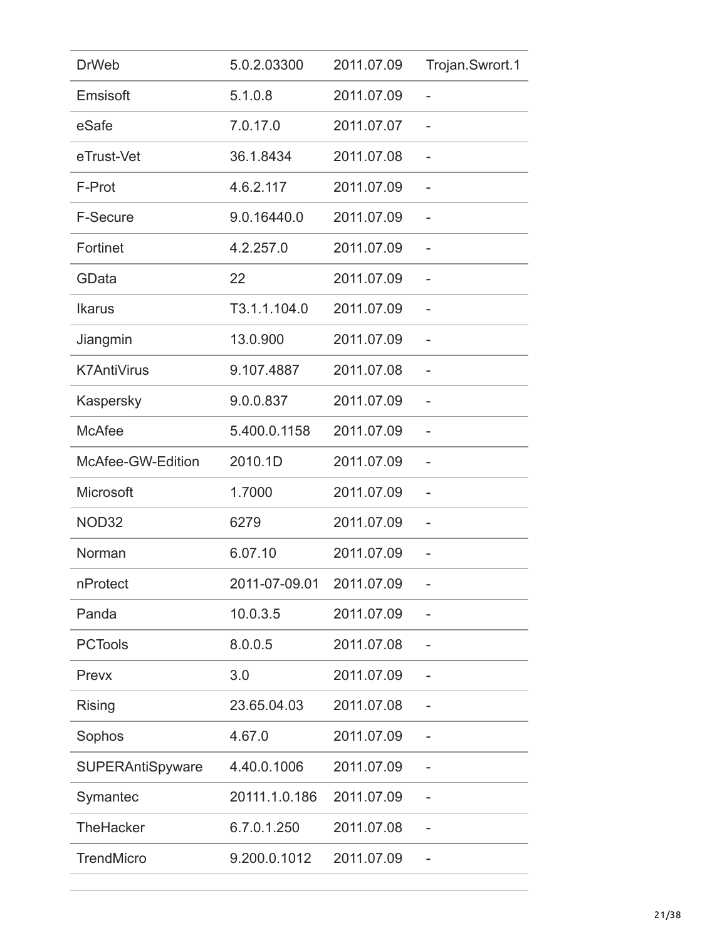| <b>DrWeb</b>            | 5.0.2.03300   | 2011.07.09 | Trojan.Swrort.1 |
|-------------------------|---------------|------------|-----------------|
| Emsisoft                | 5.1.0.8       | 2011.07.09 |                 |
| eSafe                   | 7.0.17.0      | 2011.07.07 |                 |
| eTrust-Vet              | 36.1.8434     | 2011.07.08 |                 |
| F-Prot                  | 4.6.2.117     | 2011.07.09 |                 |
| <b>F-Secure</b>         | 9.0.16440.0   | 2011.07.09 |                 |
| Fortinet                | 4.2.257.0     | 2011.07.09 |                 |
| GData                   | 22            | 2011.07.09 |                 |
| <b>Ikarus</b>           | T3.1.1.104.0  | 2011.07.09 |                 |
| Jiangmin                | 13.0.900      | 2011.07.09 |                 |
| <b>K7AntiVirus</b>      | 9.107.4887    | 2011.07.08 |                 |
| Kaspersky               | 9.0.0.837     | 2011.07.09 |                 |
| <b>McAfee</b>           | 5.400.0.1158  | 2011.07.09 |                 |
| McAfee-GW-Edition       | 2010.1D       | 2011.07.09 |                 |
| Microsoft               | 1.7000        | 2011.07.09 |                 |
| NOD32                   | 6279          | 2011.07.09 |                 |
| Norman                  | 6.07.10       | 2011.07.09 |                 |
| nProtect                | 2011-07-09.01 | 2011.07.09 |                 |
| Panda                   | 10.0.3.5      | 2011.07.09 |                 |
| <b>PCTools</b>          | 8.0.0.5       | 2011.07.08 |                 |
| Prevx                   | 3.0           | 2011.07.09 |                 |
| <b>Rising</b>           | 23.65.04.03   | 2011.07.08 |                 |
| Sophos                  | 4.67.0        | 2011.07.09 |                 |
| <b>SUPERAntiSpyware</b> | 4.40.0.1006   | 2011.07.09 |                 |
| Symantec                | 20111.1.0.186 | 2011.07.09 |                 |
| TheHacker               | 6.7.0.1.250   | 2011.07.08 |                 |
| <b>TrendMicro</b>       | 9.200.0.1012  | 2011.07.09 |                 |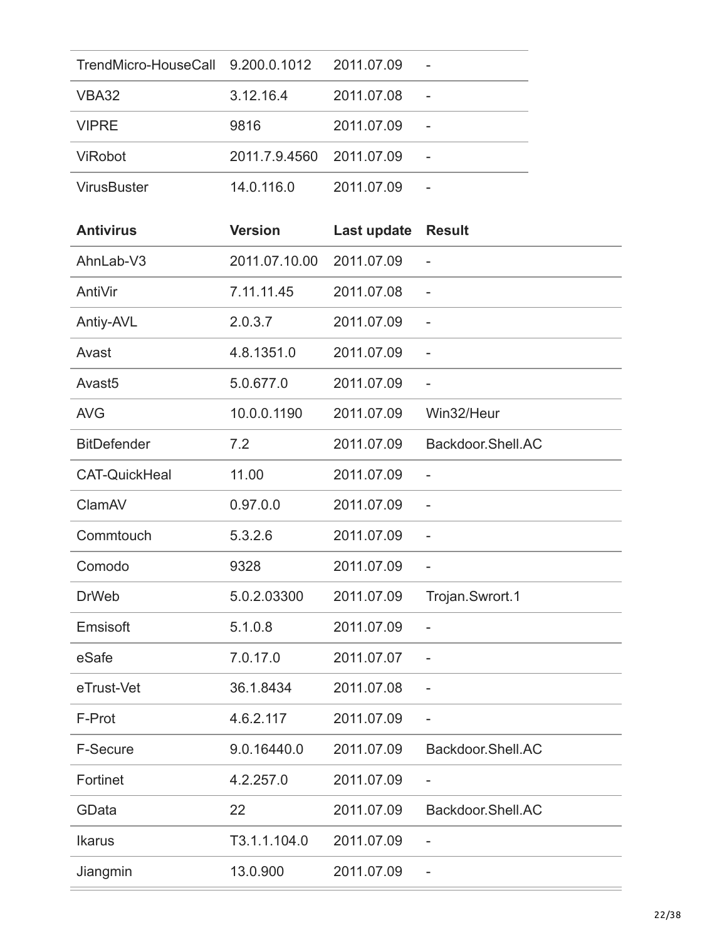| TrendMicro-HouseCall 9.200.0.1012 2011.07.09 |                          |            |  |
|----------------------------------------------|--------------------------|------------|--|
| VBA32                                        | 3.12.16.4                | 2011.07.08 |  |
| <b>VIPRE</b>                                 | 9816                     | 2011.07.09 |  |
| <b>ViRobot</b>                               | 2011.7.9.4560 2011.07.09 |            |  |
| <b>VirusBuster</b>                           | 14.0.116.0               | 2011.07.09 |  |

| <b>Antivirus</b>     | <b>Version</b> | Last update | <b>Result</b>            |
|----------------------|----------------|-------------|--------------------------|
| AhnLab-V3            | 2011.07.10.00  | 2011.07.09  |                          |
| AntiVir              | 7.11.11.45     | 2011.07.08  |                          |
| Antiy-AVL            | 2.0.3.7        | 2011.07.09  |                          |
| Avast                | 4.8.1351.0     | 2011.07.09  | $\overline{\phantom{a}}$ |
| Avast <sub>5</sub>   | 5.0.677.0      | 2011.07.09  | $\overline{\phantom{a}}$ |
| <b>AVG</b>           | 10.0.0.1190    | 2011.07.09  | Win32/Heur               |
| <b>BitDefender</b>   | 7.2            | 2011.07.09  | Backdoor.Shell.AC        |
| <b>CAT-QuickHeal</b> | 11.00          | 2011.07.09  |                          |
| ClamAV               | 0.97.0.0       | 2011.07.09  |                          |
| Commtouch            | 5.3.2.6        | 2011.07.09  |                          |
| Comodo               | 9328           | 2011.07.09  | $\overline{\phantom{a}}$ |
| <b>DrWeb</b>         | 5.0.2.03300    | 2011.07.09  | Trojan.Swrort.1          |
| Emsisoft             | 5.1.0.8        | 2011.07.09  | $\overline{\phantom{0}}$ |
| eSafe                | 7.0.17.0       | 2011.07.07  |                          |
| eTrust-Vet           | 36.1.8434      | 2011.07.08  | $\qquad \qquad -$        |
| F-Prot               | 4.6.2.117      | 2011.07.09  | $\overline{\phantom{a}}$ |
| F-Secure             | 9.0.16440.0    | 2011.07.09  | Backdoor.Shell.AC        |
| Fortinet             | 4.2.257.0      | 2011.07.09  |                          |
| GData                | 22             | 2011.07.09  | Backdoor.Shell.AC        |
| <b>Ikarus</b>        | T3.1.1.104.0   | 2011.07.09  |                          |
| Jiangmin             | 13.0.900       | 2011.07.09  |                          |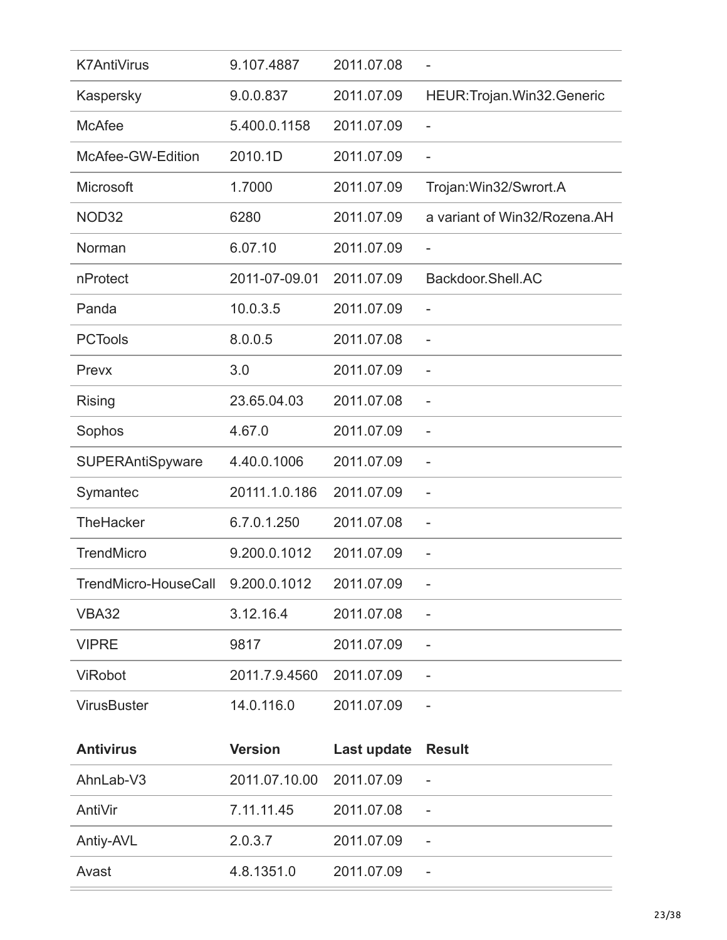| <b>K7AntiVirus</b>                | 9.107.4887     | 2011.07.08  |                              |
|-----------------------------------|----------------|-------------|------------------------------|
| Kaspersky                         | 9.0.0.837      | 2011.07.09  | HEUR: Trojan. Win32. Generic |
| <b>McAfee</b>                     | 5.400.0.1158   | 2011.07.09  | $\overline{a}$               |
| McAfee-GW-Edition                 | 2010.1D        | 2011.07.09  | $\overline{\phantom{0}}$     |
| Microsoft                         | 1.7000         | 2011.07.09  | Trojan: Win32/Swrort.A       |
| NOD32                             | 6280           | 2011.07.09  | a variant of Win32/Rozena.AH |
| Norman                            | 6.07.10        | 2011.07.09  |                              |
| nProtect                          | 2011-07-09.01  | 2011.07.09  | Backdoor.Shell.AC            |
| Panda                             | 10.0.3.5       | 2011.07.09  |                              |
| <b>PCTools</b>                    | 8.0.0.5        | 2011.07.08  | $\overline{a}$               |
| Prevx                             | 3.0            | 2011.07.09  | L,                           |
| <b>Rising</b>                     | 23.65.04.03    | 2011.07.08  |                              |
| Sophos                            | 4.67.0         | 2011.07.09  | -                            |
| SUPERAntiSpyware                  | 4.40.0.1006    | 2011.07.09  | $\overline{a}$               |
| Symantec                          | 20111.1.0.186  | 2011.07.09  |                              |
| <b>TheHacker</b>                  | 6.7.0.1.250    | 2011.07.08  | -                            |
| <b>TrendMicro</b>                 | 9.200.0.1012   | 2011.07.09  |                              |
| TrendMicro-HouseCall 9.200.0.1012 |                | 2011.07.09  |                              |
| <b>VBA32</b>                      | 3.12.16.4      | 2011.07.08  |                              |
| <b>VIPRE</b>                      | 9817           | 2011.07.09  | -                            |
| ViRobot                           | 2011.7.9.4560  | 2011.07.09  |                              |
| <b>VirusBuster</b>                | 14.0.116.0     | 2011.07.09  |                              |
| <b>Antivirus</b>                  | <b>Version</b> | Last update | <b>Result</b>                |
|                                   |                |             |                              |
| AhnLab-V3                         | 2011.07.10.00  | 2011.07.09  |                              |
| AntiVir                           | 7.11.11.45     | 2011.07.08  |                              |
| Antiy-AVL                         | 2.0.3.7        | 2011.07.09  | -                            |
| Avast                             | 4.8.1351.0     | 2011.07.09  | $\overline{\phantom{0}}$     |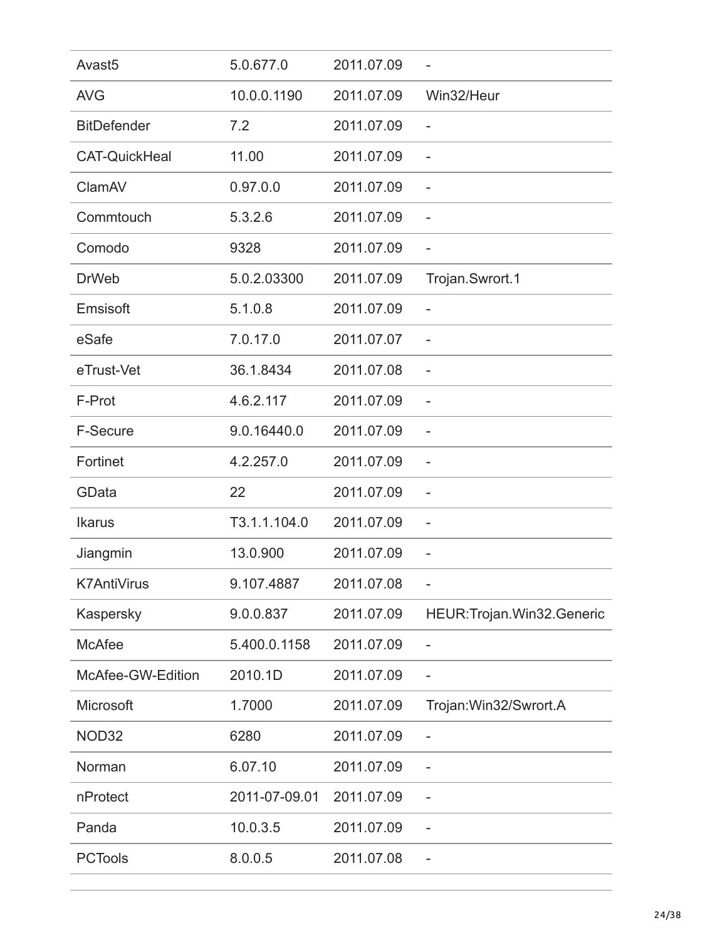| Avast <sub>5</sub>   | 5.0.677.0     | 2011.07.09 |                              |
|----------------------|---------------|------------|------------------------------|
| <b>AVG</b>           | 10.0.0.1190   | 2011.07.09 | Win32/Heur                   |
| <b>BitDefender</b>   | 7.2           | 2011.07.09 | $\overline{a}$               |
| <b>CAT-QuickHeal</b> | 11.00         | 2011.07.09 |                              |
| ClamAV               | 0.97.0.0      | 2011.07.09 |                              |
| Commtouch            | 5.3.2.6       | 2011.07.09 |                              |
| Comodo               | 9328          | 2011.07.09 | $\qquad \qquad -$            |
| <b>DrWeb</b>         | 5.0.2.03300   | 2011.07.09 | Trojan.Swrort.1              |
| Emsisoft             | 5.1.0.8       | 2011.07.09 | $\overline{\phantom{0}}$     |
| eSafe                | 7.0.17.0      | 2011.07.07 | $\overline{a}$               |
| eTrust-Vet           | 36.1.8434     | 2011.07.08 | $\qquad \qquad -$            |
| F-Prot               | 4.6.2.117     | 2011.07.09 |                              |
| F-Secure             | 9.0.16440.0   | 2011.07.09 |                              |
| Fortinet             | 4.2.257.0     | 2011.07.09 | $\overline{a}$               |
| GData                | 22            | 2011.07.09 | $\overline{a}$               |
| <b>Ikarus</b>        | T3.1.1.104.0  | 2011.07.09 | $\overline{\phantom{0}}$     |
| Jiangmin             | 13.0.900      | 2011.07.09 |                              |
| <b>K7AntiVirus</b>   | 9.107.4887    | 2011.07.08 |                              |
| Kaspersky            | 9.0.0.837     | 2011.07.09 | HEUR: Trojan. Win32. Generic |
| <b>McAfee</b>        | 5.400.0.1158  | 2011.07.09 | $\overline{a}$               |
| McAfee-GW-Edition    | 2010.1D       | 2011.07.09 | $\overline{a}$               |
| Microsoft            | 1.7000        | 2011.07.09 | Trojan: Win32/Swrort.A       |
| NOD32                | 6280          | 2011.07.09 |                              |
| Norman               | 6.07.10       | 2011.07.09 |                              |
| nProtect             | 2011-07-09.01 | 2011.07.09 |                              |
| Panda                | 10.0.3.5      | 2011.07.09 |                              |
| <b>PCTools</b>       | 8.0.0.5       | 2011.07.08 |                              |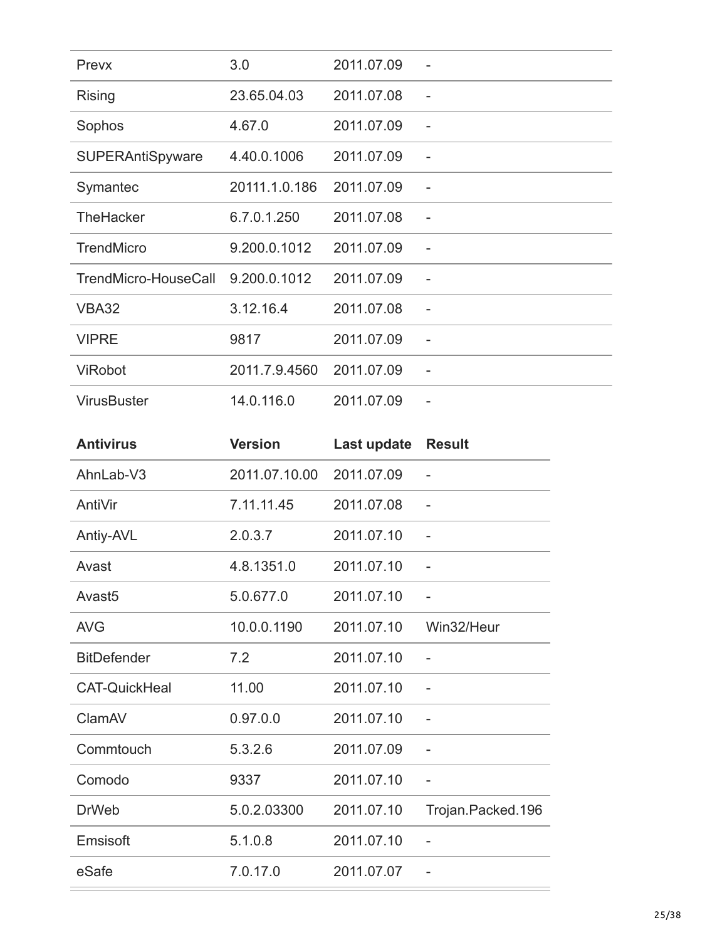| Prevx                   | 3.0           | 2011.07.09 |                          |
|-------------------------|---------------|------------|--------------------------|
| <b>Rising</b>           | 23.65.04.03   | 2011.07.08 |                          |
| Sophos                  | 4.67.0        | 2011.07.09 |                          |
| <b>SUPERAntiSpyware</b> | 4.40.0.1006   | 2011.07.09 |                          |
| Symantec                | 20111.1.0.186 | 2011.07.09 |                          |
| TheHacker               | 6.7.0.1.250   | 2011.07.08 | $\overline{\phantom{a}}$ |
| <b>TrendMicro</b>       | 9.200.0.1012  | 2011.07.09 | $\overline{a}$           |
| TrendMicro-HouseCall    | 9.200.0.1012  | 2011.07.09 |                          |
| <b>VBA32</b>            | 3.12.16.4     | 2011.07.08 |                          |
| <b>VIPRE</b>            | 9817          | 2011.07.09 | $\overline{\phantom{0}}$ |
| <b>ViRobot</b>          | 2011.7.9.4560 | 2011.07.09 | $\qquad \qquad -$        |
| <b>VirusBuster</b>      | 14.0.116.0    | 2011.07.09 | $\overline{\phantom{0}}$ |

| <b>Antivirus</b>     | <b>Version</b> | Last update | <b>Result</b>            |
|----------------------|----------------|-------------|--------------------------|
| AhnLab-V3            | 2011.07.10.00  | 2011.07.09  |                          |
| AntiVir              | 7.11.11.45     | 2011.07.08  |                          |
| Antiy-AVL            | 2.0.3.7        | 2011.07.10  | $\overline{\phantom{a}}$ |
| Avast                | 4.8.1351.0     | 2011.07.10  |                          |
| Avast <sub>5</sub>   | 5.0.677.0      | 2011.07.10  | $\overline{\phantom{a}}$ |
| <b>AVG</b>           | 10.0.0.1190    | 2011.07.10  | Win32/Heur               |
| <b>BitDefender</b>   | 7.2            | 2011.07.10  | $\overline{a}$           |
| <b>CAT-QuickHeal</b> | 11.00          | 2011.07.10  |                          |
| ClamAV               | 0.97.0.0       | 2011.07.10  | $\overline{\phantom{a}}$ |
| Commtouch            | 5.3.2.6        | 2011.07.09  |                          |
| Comodo               | 9337           | 2011.07.10  | $\overline{\phantom{0}}$ |
| <b>DrWeb</b>         | 5.0.2.03300    | 2011.07.10  | Trojan.Packed.196        |
| Emsisoft             | 5.1.0.8        | 2011.07.10  |                          |
| eSafe                | 7.0.17.0       | 2011.07.07  |                          |
|                      |                |             |                          |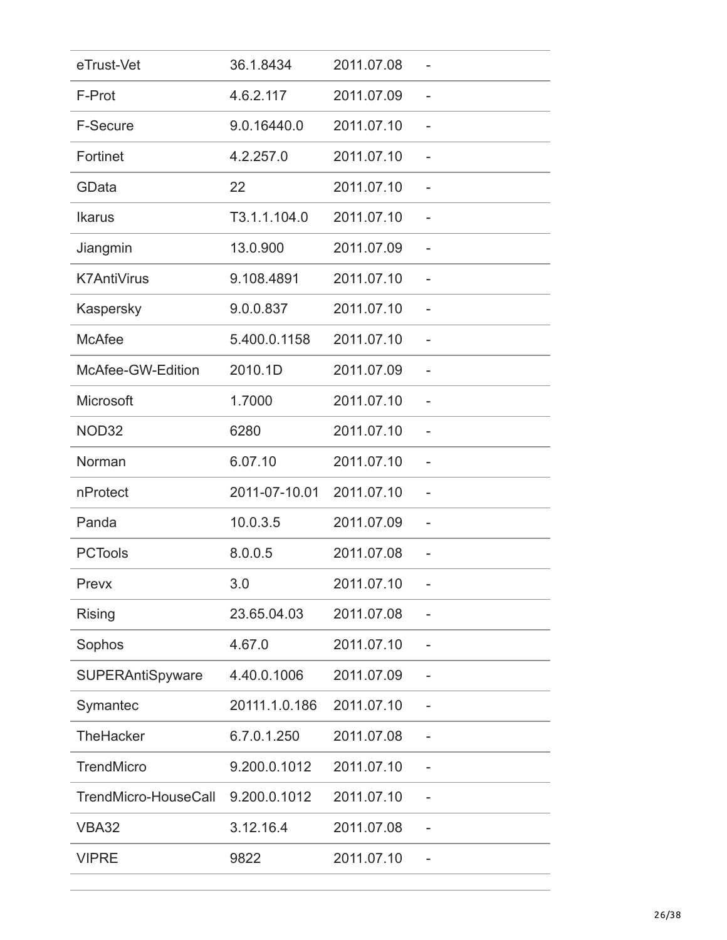| eTrust-Vet           | 36.1.8434     | 2011.07.08 |                          |
|----------------------|---------------|------------|--------------------------|
| F-Prot               | 4.6.2.117     | 2011.07.09 |                          |
| F-Secure             | 9.0.16440.0   | 2011.07.10 | $\overline{\phantom{0}}$ |
| Fortinet             | 4.2.257.0     | 2011.07.10 |                          |
| GData                | 22            | 2011.07.10 |                          |
| <b>Ikarus</b>        | T3.1.1.104.0  | 2011.07.10 |                          |
| Jiangmin             | 13.0.900      | 2011.07.09 |                          |
| <b>K7AntiVirus</b>   | 9.108.4891    | 2011.07.10 |                          |
| Kaspersky            | 9.0.0.837     | 2011.07.10 |                          |
| <b>McAfee</b>        | 5.400.0.1158  | 2011.07.10 |                          |
| McAfee-GW-Edition    | 2010.1D       | 2011.07.09 |                          |
| Microsoft            | 1.7000        | 2011.07.10 |                          |
| NOD32                | 6280          | 2011.07.10 |                          |
| Norman               | 6.07.10       | 2011.07.10 |                          |
| nProtect             | 2011-07-10.01 | 2011.07.10 |                          |
| Panda                | 10.0.3.5      | 2011.07.09 |                          |
| <b>PCTools</b>       | 8.0.0.5       | 2011.07.08 |                          |
| Prevx                | 3.0           | 2011.07.10 |                          |
| <b>Rising</b>        | 23.65.04.03   | 2011.07.08 |                          |
| Sophos               | 4.67.0        | 2011.07.10 |                          |
| SUPERAntiSpyware     | 4.40.0.1006   | 2011.07.09 |                          |
| Symantec             | 20111.1.0.186 | 2011.07.10 |                          |
| <b>TheHacker</b>     | 6.7.0.1.250   | 2011.07.08 |                          |
| TrendMicro           | 9.200.0.1012  | 2011.07.10 |                          |
| TrendMicro-HouseCall | 9.200.0.1012  | 2011.07.10 |                          |
| <b>VBA32</b>         | 3.12.16.4     | 2011.07.08 |                          |
| <b>VIPRE</b>         | 9822          | 2011.07.10 |                          |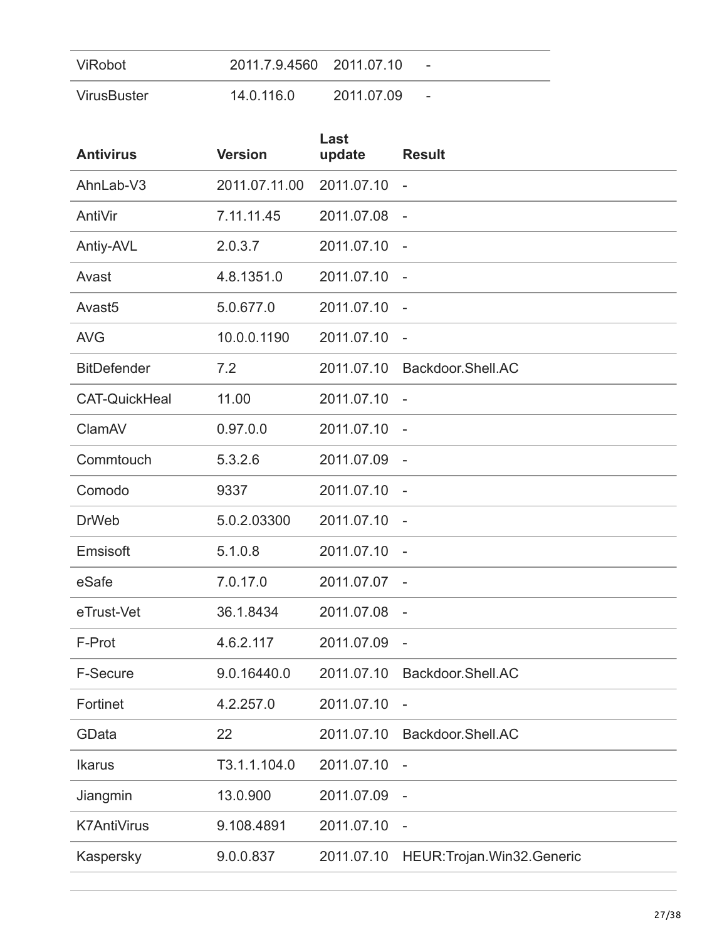| ViRobot     | 2011.7.9.4560 2011.07.10 |            | $\qquad \qquad$          |
|-------------|--------------------------|------------|--------------------------|
| VirusBuster | 14.0.116.0               | 2011.07.09 | $\overline{\phantom{a}}$ |

| <b>Antivirus</b>     | <b>Version</b> | Last<br>update | <b>Result</b>                |
|----------------------|----------------|----------------|------------------------------|
| AhnLab-V3            | 2011.07.11.00  | 2011.07.10     | $\overline{\phantom{a}}$     |
| AntiVir              | 7.11.11.45     | 2011.07.08     | $\overline{\phantom{a}}$     |
| Antiy-AVL            | 2.0.3.7        | 2011.07.10     | $\sim$                       |
| Avast                | 4.8.1351.0     | 2011.07.10     | $\overline{\phantom{a}}$     |
| Avast <sub>5</sub>   | 5.0.677.0      | 2011.07.10     | $\overline{\phantom{a}}$     |
| <b>AVG</b>           | 10.0.0.1190    | 2011.07.10     |                              |
| <b>BitDefender</b>   | 7.2            | 2011.07.10     | Backdoor.Shell.AC            |
| <b>CAT-QuickHeal</b> | 11.00          | 2011.07.10     | $\sim$ $-$                   |
| ClamAV               | 0.97.0.0       | 2011.07.10     | $\overline{\phantom{a}}$     |
| Commtouch            | 5.3.2.6        | 2011.07.09     | $\overline{a}$               |
| Comodo               | 9337           | 2011.07.10     | $\overline{\phantom{a}}$     |
| <b>DrWeb</b>         | 5.0.2.03300    | 2011.07.10     | $\overline{\phantom{a}}$     |
| Emsisoft             | 5.1.0.8        | 2011.07.10     | $\overline{\phantom{a}}$     |
| eSafe                | 7.0.17.0       | 2011.07.07     |                              |
| eTrust-Vet           | 36.1.8434      | 2011.07.08     | $\overline{a}$               |
| F-Prot               | 4.6.2.117      | 2011.07.09     | $\overline{\phantom{a}}$     |
| <b>F-Secure</b>      | 9.0.16440.0    | 2011.07.10     | Backdoor.Shell.AC            |
| Fortinet             | 4.2.257.0      | 2011.07.10     | $\overline{\phantom{m}}$     |
| GData                | 22             | 2011.07.10     | Backdoor.Shell.AC            |
| <b>Ikarus</b>        | T3.1.1.104.0   | 2011.07.10     | $\overline{\phantom{a}}$     |
| Jiangmin             | 13.0.900       | 2011.07.09     |                              |
| <b>K7AntiVirus</b>   | 9.108.4891     | 2011.07.10     |                              |
| Kaspersky            | 9.0.0.837      | 2011.07.10     | HEUR: Trojan. Win32. Generic |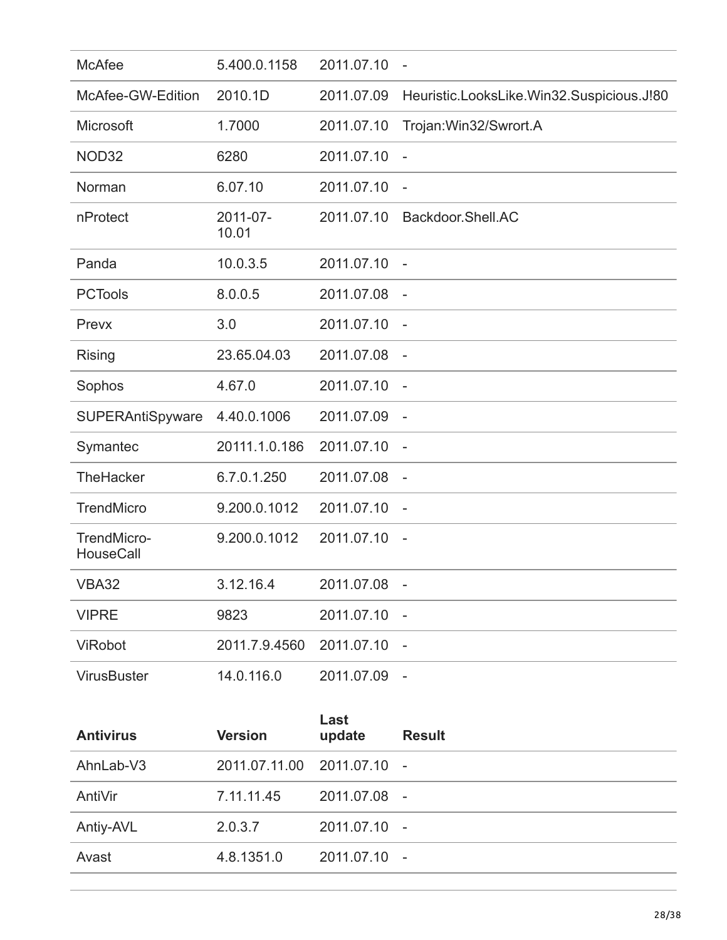| <b>McAfee</b>                   | 5.400.0.1158      | 2011.07.10 | $\overline{\phantom{a}}$                  |
|---------------------------------|-------------------|------------|-------------------------------------------|
| McAfee-GW-Edition               | 2010.1D           | 2011.07.09 | Heuristic.LooksLike.Win32.Suspicious.J!80 |
| Microsoft                       | 1.7000            | 2011.07.10 | Trojan: Win32/Swrort.A                    |
| NOD32                           | 6280              | 2011.07.10 | $\overline{\phantom{a}}$                  |
| Norman                          | 6.07.10           | 2011.07.10 | $\overline{\phantom{a}}$                  |
| nProtect                        | 2011-07-<br>10.01 | 2011.07.10 | Backdoor.Shell.AC                         |
| Panda                           | 10.0.3.5          | 2011.07.10 | $\overline{\phantom{a}}$                  |
| <b>PCTools</b>                  | 8.0.0.5           | 2011.07.08 | $\overline{\phantom{a}}$                  |
| Prevx                           | 3.0               | 2011.07.10 | $\overline{\phantom{a}}$                  |
| <b>Rising</b>                   | 23.65.04.03       | 2011.07.08 | $\overline{\phantom{a}}$                  |
| Sophos                          | 4.67.0            | 2011.07.10 | $\overline{\phantom{a}}$                  |
| SUPERAntiSpyware                | 4.40.0.1006       | 2011.07.09 | $\overline{\phantom{a}}$                  |
| Symantec                        | 20111.1.0.186     | 2011.07.10 |                                           |
| TheHacker                       | 6.7.0.1.250       | 2011.07.08 | $\overline{\phantom{a}}$                  |
| <b>TrendMicro</b>               | 9.200.0.1012      | 2011.07.10 | $\overline{\phantom{a}}$                  |
| TrendMicro-<br><b>HouseCall</b> | 9.200.0.1012      | 2011.07.10 | $\sim$                                    |
| VBA32                           | 3.12.16.4         | 2011.07.08 |                                           |
| <b>VIPRE</b>                    | 9823              | 2011.07.10 | $\overline{\phantom{a}}$                  |
| <b>ViRobot</b>                  | 2011.7.9.4560     | 2011.07.10 |                                           |
| <b>VirusBuster</b>              | 14.0.116.0        | 2011.07.09 | $\sim$ $-$                                |

| <b>Antivirus</b> | <b>Version</b>             | Last<br>update | <b>Result</b> |
|------------------|----------------------------|----------------|---------------|
| AhnLab-V3        | 2011.07.11.00 2011.07.10 - |                |               |
| AntiVir          | 7.11.11.45                 | 2011.07.08 -   |               |
| Antiy-AVL        | 2.0.3.7                    | 2011.07.10 -   |               |
| Avast            | 4.8.1351.0                 | 2011.07.10 -   |               |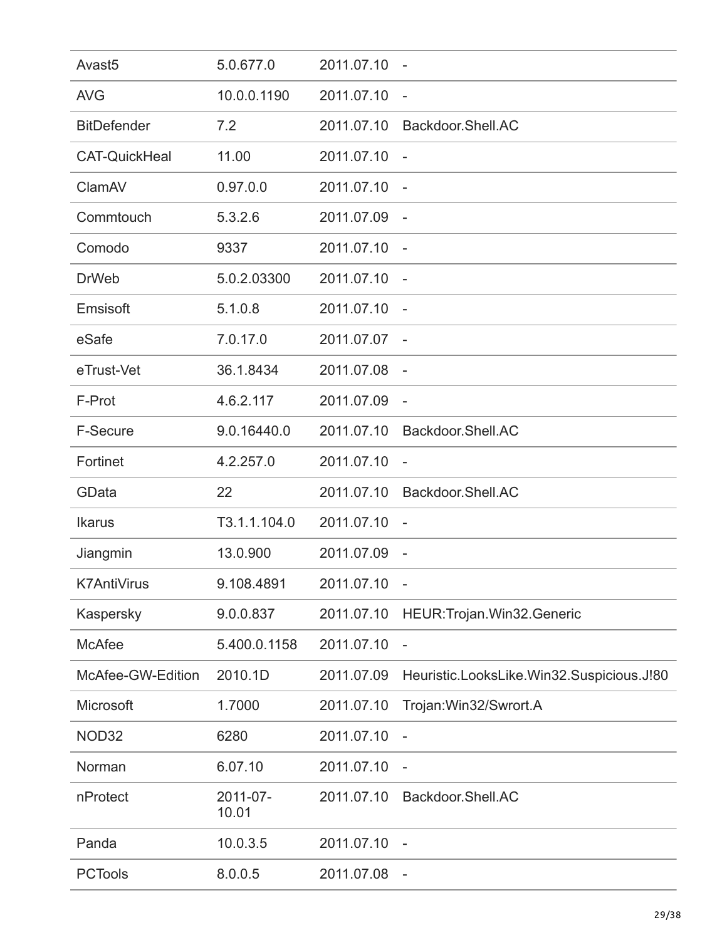| Avast <sub>5</sub>   | 5.0.677.0         | 2011.07.10 | $\overline{\phantom{a}}$                  |
|----------------------|-------------------|------------|-------------------------------------------|
| <b>AVG</b>           | 10.0.0.1190       | 2011.07.10 | $\overline{\phantom{a}}$                  |
| <b>BitDefender</b>   | 7.2               | 2011.07.10 | Backdoor.Shell.AC                         |
| <b>CAT-QuickHeal</b> | 11.00             | 2011.07.10 | $\overline{\phantom{a}}$                  |
| ClamAV               | 0.97.0.0          | 2011.07.10 |                                           |
| Commtouch            | 5.3.2.6           | 2011.07.09 |                                           |
| Comodo               | 9337              | 2011.07.10 | $\overline{\phantom{a}}$                  |
| <b>DrWeb</b>         | 5.0.2.03300       | 2011.07.10 | $\overline{a}$                            |
| Emsisoft             | 5.1.0.8           | 2011.07.10 | $\overline{\phantom{a}}$                  |
| eSafe                | 7.0.17.0          | 2011.07.07 |                                           |
| eTrust-Vet           | 36.1.8434         | 2011.07.08 |                                           |
| F-Prot               | 4.6.2.117         | 2011.07.09 | $\overline{\phantom{a}}$                  |
| <b>F-Secure</b>      | 9.0.16440.0       | 2011.07.10 | Backdoor.Shell.AC                         |
| Fortinet             | 4.2.257.0         | 2011.07.10 | $\overline{\phantom{a}}$                  |
| GData                | 22                | 2011.07.10 | Backdoor.Shell.AC                         |
| <b>Ikarus</b>        | T3.1.1.104.0      | 2011.07.10 | $\overline{\phantom{a}}$                  |
| Jiangmin             | 13.0.900          | 2011.07.09 | $\overline{\phantom{a}}$                  |
| <b>K7AntiVirus</b>   | 9.108.4891        | 2011.07.10 |                                           |
| Kaspersky            | 9.0.0.837         | 2011.07.10 | HEUR: Trojan. Win32. Generic              |
| <b>McAfee</b>        | 5.400.0.1158      | 2011.07.10 | $\overline{\phantom{0}}$                  |
| McAfee-GW-Edition    | 2010.1D           | 2011.07.09 | Heuristic.LooksLike.Win32.Suspicious.J!80 |
| Microsoft            | 1.7000            | 2011.07.10 | Trojan: Win32/Swrort.A                    |
| NOD32                | 6280              | 2011.07.10 | $\overline{\phantom{0}}$                  |
| Norman               | 6.07.10           | 2011.07.10 | $\overline{\phantom{a}}$                  |
| nProtect             | 2011-07-<br>10.01 | 2011.07.10 | Backdoor.Shell.AC                         |
| Panda                | 10.0.3.5          | 2011.07.10 |                                           |
| <b>PCTools</b>       | 8.0.0.5           | 2011.07.08 | $\overline{\phantom{m}}$                  |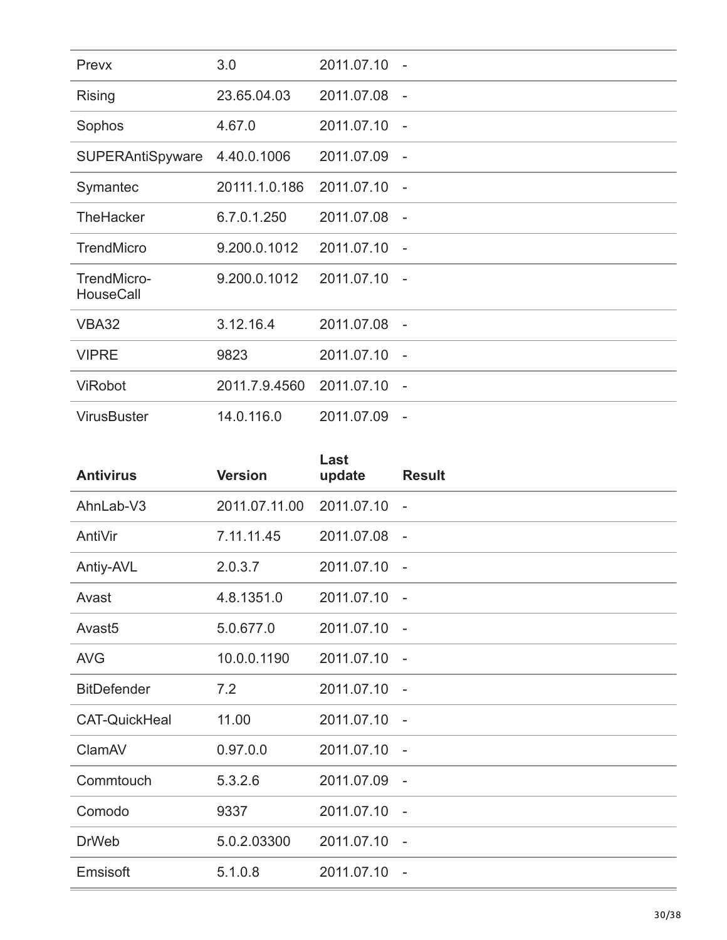| Prevx                           | 3.0           | 2011.07.10   |                          |
|---------------------------------|---------------|--------------|--------------------------|
| <b>Rising</b>                   | 23.65.04.03   | 2011.07.08   | $\sim$                   |
| Sophos                          | 4.67.0        | 2011.07.10   | $\sim$                   |
| <b>SUPERAntiSpyware</b>         | 4.40.0.1006   | 2011.07.09 - |                          |
| Symantec                        | 20111.1.0.186 | 2011.07.10 - |                          |
| <b>TheHacker</b>                | 6.7.0.1.250   | 2011.07.08 - |                          |
| <b>TrendMicro</b>               | 9.200.0.1012  | 2011.07.10   | $\sim$                   |
| TrendMicro-<br><b>HouseCall</b> | 9.200.0.1012  | 2011.07.10   | $\sim$                   |
| VBA32                           | 3.12.16.4     | 2011.07.08 - |                          |
| <b>VIPRE</b>                    | 9823          | 2011.07.10 - |                          |
| <b>ViRobot</b>                  | 2011.7.9.4560 | 2011.07.10 - |                          |
| <b>VirusBuster</b>              | 14.0.116.0    | 2011.07.09   | $\overline{\phantom{a}}$ |

| <b>Antivirus</b>     | <b>Version</b> | Last<br>update | <b>Result</b>            |
|----------------------|----------------|----------------|--------------------------|
| AhnLab-V3            | 2011.07.11.00  | 2011.07.10     | $\overline{\phantom{a}}$ |
| AntiVir              | 7.11.11.45     | 2011.07.08     | $\overline{a}$           |
| Antiy-AVL            | 2.0.3.7        | 2011.07.10 -   |                          |
| Avast                | 4.8.1351.0     | 2011.07.10     | $\overline{\phantom{a}}$ |
| Avast <sub>5</sub>   | 5.0.677.0      | 2011.07.10     | $\overline{\phantom{a}}$ |
| <b>AVG</b>           | 10.0.0.1190    | 2011.07.10     | $\overline{a}$           |
| <b>BitDefender</b>   | 7.2            | 2011.07.10     | $\overline{\phantom{a}}$ |
| <b>CAT-QuickHeal</b> | 11.00          | 2011.07.10     | $\sim$                   |
| ClamAV               | 0.97.0.0       | 2011.07.10     | $\overline{\phantom{a}}$ |
| Commtouch            | 5.3.2.6        | 2011.07.09     | $\overline{\phantom{a}}$ |
| Comodo               | 9337           | 2011.07.10     | $\sim$                   |
| <b>DrWeb</b>         | 5.0.2.03300    | 2011.07.10     | $\overline{\phantom{a}}$ |
| Emsisoft             | 5.1.0.8        | 2011.07.10     | $\overline{\phantom{a}}$ |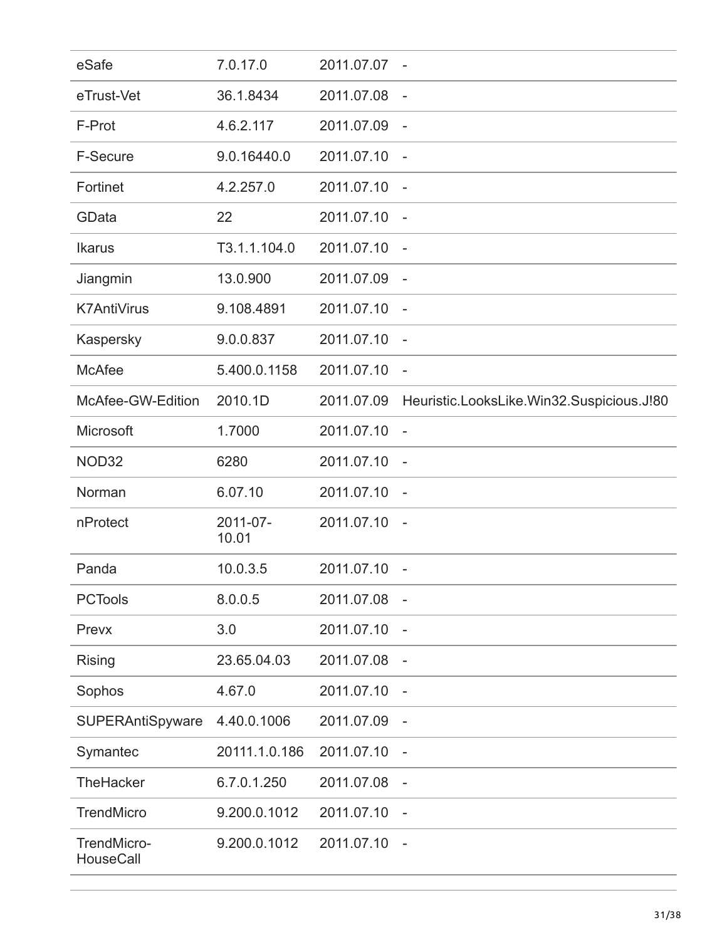| eSafe                    | 7.0.17.0          | 2011.07.07   | $\overline{\phantom{a}}$                  |
|--------------------------|-------------------|--------------|-------------------------------------------|
| eTrust-Vet               | 36.1.8434         | 2011.07.08   | $\overline{\phantom{a}}$                  |
| F-Prot                   | 4.6.2.117         | 2011.07.09   | $\overline{\phantom{a}}$                  |
| F-Secure                 | 9.0.16440.0       | 2011.07.10   | $\overline{\phantom{a}}$                  |
| Fortinet                 | 4.2.257.0         | 2011.07.10   | $\overline{\phantom{a}}$                  |
| GData                    | 22                | 2011.07.10   |                                           |
| <b>Ikarus</b>            | T3.1.1.104.0      | 2011.07.10   |                                           |
| Jiangmin                 | 13.0.900          | 2011.07.09   | $\overline{\phantom{a}}$                  |
| <b>K7AntiVirus</b>       | 9.108.4891        | 2011.07.10   | $\sim$ $-$                                |
| Kaspersky                | 9.0.0.837         | 2011.07.10   | $\overline{\phantom{a}}$                  |
| <b>McAfee</b>            | 5.400.0.1158      | 2011.07.10   | $\overline{\phantom{a}}$                  |
| McAfee-GW-Edition        | 2010.1D           | 2011.07.09   | Heuristic.LooksLike.Win32.Suspicious.J!80 |
| Microsoft                | 1.7000            | 2011.07.10   |                                           |
| NOD32                    | 6280              | 2011.07.10   |                                           |
| Norman                   | 6.07.10           | 2011.07.10   | $\overline{\phantom{a}}$                  |
| nProtect                 | 2011-07-<br>10.01 | 2011.07.10 - |                                           |
| Panda                    | 10.0.3.5          | 2011.07.10   | $\sim$                                    |
| <b>PCTools</b>           | 8.0.0.5           | 2011.07.08   | $\overline{\phantom{a}}$                  |
| Prevx                    | 3.0               | 2011.07.10   | $\overline{\phantom{a}}$                  |
| Rising                   | 23.65.04.03       | 2011.07.08   | $\overline{\phantom{a}}$                  |
| Sophos                   | 4.67.0            | 2011.07.10   | $\overline{\phantom{a}}$                  |
| SUPERAntiSpyware         | 4.40.0.1006       | 2011.07.09   |                                           |
| Symantec                 | 20111.1.0.186     | 2011.07.10   |                                           |
| <b>TheHacker</b>         | 6.7.0.1.250       | 2011.07.08   | $\overline{\phantom{a}}$                  |
| <b>TrendMicro</b>        | 9.200.0.1012      | 2011.07.10   | $\overline{\phantom{a}}$                  |
| TrendMicro-<br>HouseCall | 9.200.0.1012      | 2011.07.10   | $\overline{\phantom{a}}$                  |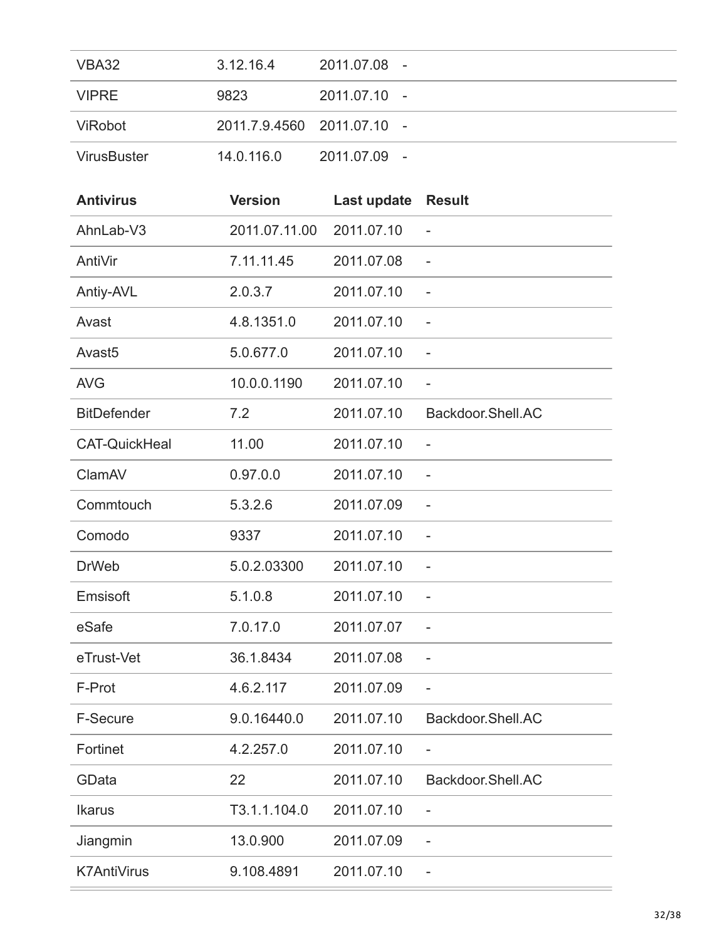| VBA32              | 3.12.16.4  | 2011.07.08 -               |
|--------------------|------------|----------------------------|
| <b>VIPRE</b>       | 9823       | 2011.07.10 -               |
| ViRobot            |            | 2011.7.9.4560 2011.07.10 - |
| <b>VirusBuster</b> | 14.0.116.0 | 2011.07.09 -               |

| <b>Antivirus</b>     | <b>Version</b> | Last update | <b>Result</b>            |
|----------------------|----------------|-------------|--------------------------|
| AhnLab-V3            | 2011.07.11.00  | 2011.07.10  |                          |
| AntiVir              | 7.11.11.45     | 2011.07.08  |                          |
| Antiy-AVL            | 2.0.3.7        | 2011.07.10  | $\overline{\phantom{0}}$ |
| Avast                | 4.8.1351.0     | 2011.07.10  | $\qquad \qquad -$        |
| Avast <sub>5</sub>   | 5.0.677.0      | 2011.07.10  | $\overline{a}$           |
| <b>AVG</b>           | 10.0.0.1190    | 2011.07.10  | $\qquad \qquad -$        |
| <b>BitDefender</b>   | 7.2            | 2011.07.10  | Backdoor.Shell.AC        |
| <b>CAT-QuickHeal</b> | 11.00          | 2011.07.10  | $\overline{\phantom{a}}$ |
| ClamAV               | 0.97.0.0       | 2011.07.10  |                          |
| Commtouch            | 5.3.2.6        | 2011.07.09  | $\overline{\phantom{0}}$ |
| Comodo               | 9337           | 2011.07.10  | $\qquad \qquad -$        |
| <b>DrWeb</b>         | 5.0.2.03300    | 2011.07.10  | $\overline{a}$           |
| Emsisoft             | 5.1.0.8        | 2011.07.10  | $\overline{a}$           |
| eSafe                | 7.0.17.0       | 2011.07.07  |                          |
| eTrust-Vet           | 36.1.8434      | 2011.07.08  | $\overline{\phantom{0}}$ |
| F-Prot               | 4.6.2.117      | 2011.07.09  | $\overline{\phantom{a}}$ |
| F-Secure             | 9.0.16440.0    | 2011.07.10  | Backdoor.Shell.AC        |
| Fortinet             | 4.2.257.0      | 2011.07.10  |                          |
| GData                | 22             | 2011.07.10  | Backdoor.Shell.AC        |
| <b>Ikarus</b>        | T3.1.1.104.0   | 2011.07.10  |                          |
| Jiangmin             | 13.0.900       | 2011.07.09  |                          |
| <b>K7AntiVirus</b>   | 9.108.4891     | 2011.07.10  |                          |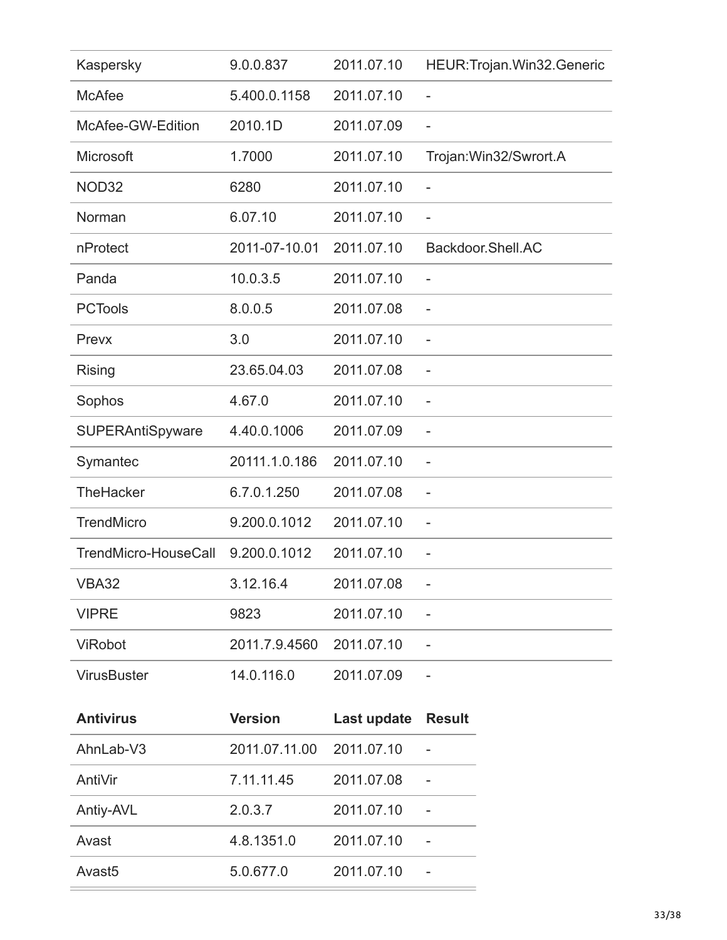| Kaspersky            | 9.0.0.837      | 2011.07.10  | HEUR: Trojan. Win32. Generic |
|----------------------|----------------|-------------|------------------------------|
| <b>McAfee</b>        | 5.400.0.1158   | 2011.07.10  | $\overline{\phantom{0}}$     |
| McAfee-GW-Edition    | 2010.1D        | 2011.07.09  | $\overline{\phantom{a}}$     |
| Microsoft            | 1.7000         | 2011.07.10  | Trojan: Win32/Swrort.A       |
| NOD32                | 6280           | 2011.07.10  | $\overline{\phantom{0}}$     |
| Norman               | 6.07.10        | 2011.07.10  |                              |
| nProtect             | 2011-07-10.01  | 2011.07.10  | Backdoor.Shell.AC            |
| Panda                | 10.0.3.5       | 2011.07.10  | $\qquad \qquad -$            |
| <b>PCTools</b>       | 8.0.0.5        | 2011.07.08  | $\overline{\phantom{0}}$     |
| Prevx                | 3.0            | 2011.07.10  | $\overline{\phantom{a}}$     |
| <b>Rising</b>        | 23.65.04.03    | 2011.07.08  | $\overline{a}$               |
| Sophos               | 4.67.0         | 2011.07.10  |                              |
| SUPERAntiSpyware     | 4.40.0.1006    | 2011.07.09  | $\overline{\phantom{0}}$     |
| Symantec             | 20111.1.0.186  | 2011.07.10  | $\overline{\phantom{0}}$     |
| TheHacker            | 6.7.0.1.250    | 2011.07.08  | $\overline{\phantom{a}}$     |
| <b>TrendMicro</b>    | 9.200.0.1012   | 2011.07.10  | $\overline{\phantom{a}}$     |
| TrendMicro-HouseCall | 9.200.0.1012   | 2011.07.10  | $\overline{\phantom{0}}$     |
| <b>VBA32</b>         | 3.12.16.4      | 2011.07.08  |                              |
| <b>VIPRE</b>         | 9823           | 2011.07.10  |                              |
| ViRobot              | 2011.7.9.4560  | 2011.07.10  |                              |
| <b>VirusBuster</b>   | 14.0.116.0     | 2011.07.09  |                              |
| <b>Antivirus</b>     | <b>Version</b> | Last update | <b>Result</b>                |
| AhnLab-V3            | 2011.07.11.00  | 2011.07.10  |                              |
| AntiVir              | 7.11.11.45     | 2011.07.08  |                              |
| Antiy-AVL            | 2.0.3.7        | 2011.07.10  |                              |
| Avast                | 4.8.1351.0     | 2011.07.10  |                              |
| Avast <sub>5</sub>   | 5.0.677.0      | 2011.07.10  |                              |
|                      |                |             |                              |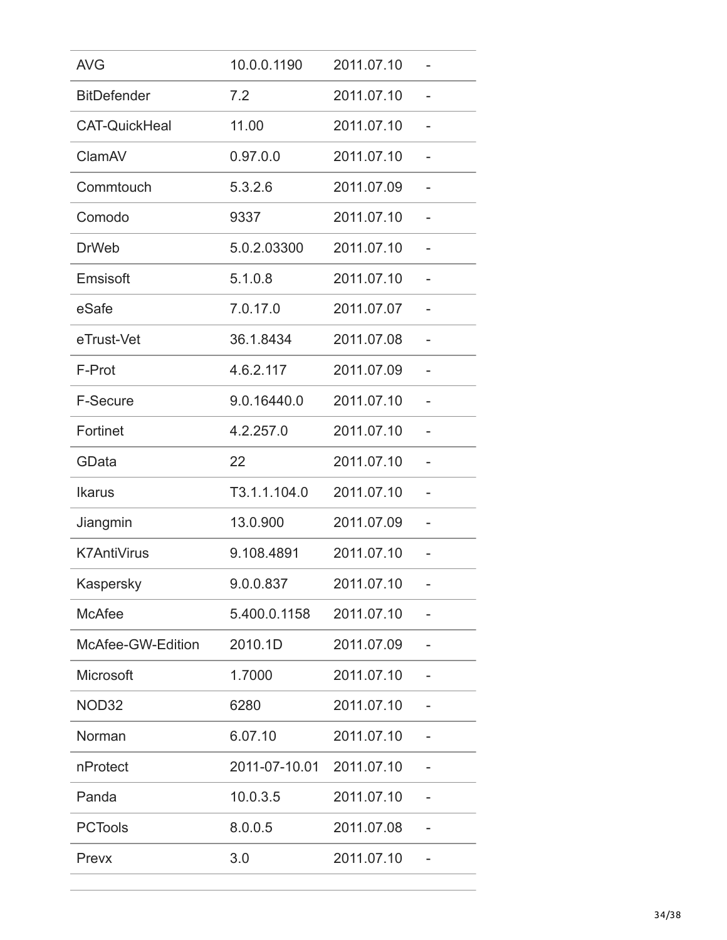| <b>AVG</b>           | 10.0.0.1190   | 2011.07.10 |   |
|----------------------|---------------|------------|---|
| <b>BitDefender</b>   | 7.2           | 2011.07.10 |   |
| <b>CAT-QuickHeal</b> | 11.00         | 2011.07.10 | - |
| ClamAV               | 0.97.0.0      | 2011.07.10 |   |
| Commtouch            | 5.3.2.6       | 2011.07.09 |   |
| Comodo               | 9337          | 2011.07.10 |   |
| <b>DrWeb</b>         | 5.0.2.03300   | 2011.07.10 |   |
| Emsisoft             | 5.1.0.8       | 2011.07.10 |   |
| eSafe                | 7.0.17.0      | 2011.07.07 |   |
| eTrust-Vet           | 36.1.8434     | 2011.07.08 |   |
| F-Prot               | 4.6.2.117     | 2011.07.09 |   |
| <b>F-Secure</b>      | 9.0.16440.0   | 2011.07.10 |   |
| Fortinet             | 4.2.257.0     | 2011.07.10 |   |
| GData                | 22            | 2011.07.10 |   |
| <b>Ikarus</b>        | T3.1.1.104.0  | 2011.07.10 |   |
| Jiangmin             | 13.0.900      | 2011.07.09 |   |
| <b>K7AntiVirus</b>   | 9.108.4891    | 2011.07.10 |   |
| Kaspersky            | 9.0.0.837     | 2011.07.10 |   |
| <b>McAfee</b>        | 5.400.0.1158  | 2011.07.10 |   |
| McAfee-GW-Edition    | 2010.1D       | 2011.07.09 |   |
| Microsoft            | 1.7000        | 2011.07.10 |   |
| NOD32                | 6280          | 2011.07.10 |   |
| Norman               | 6.07.10       | 2011.07.10 |   |
| nProtect             | 2011-07-10.01 | 2011.07.10 |   |
| Panda                | 10.0.3.5      | 2011.07.10 |   |
| <b>PCTools</b>       | 8.0.0.5       | 2011.07.08 |   |
| Prevx                | 3.0           | 2011.07.10 |   |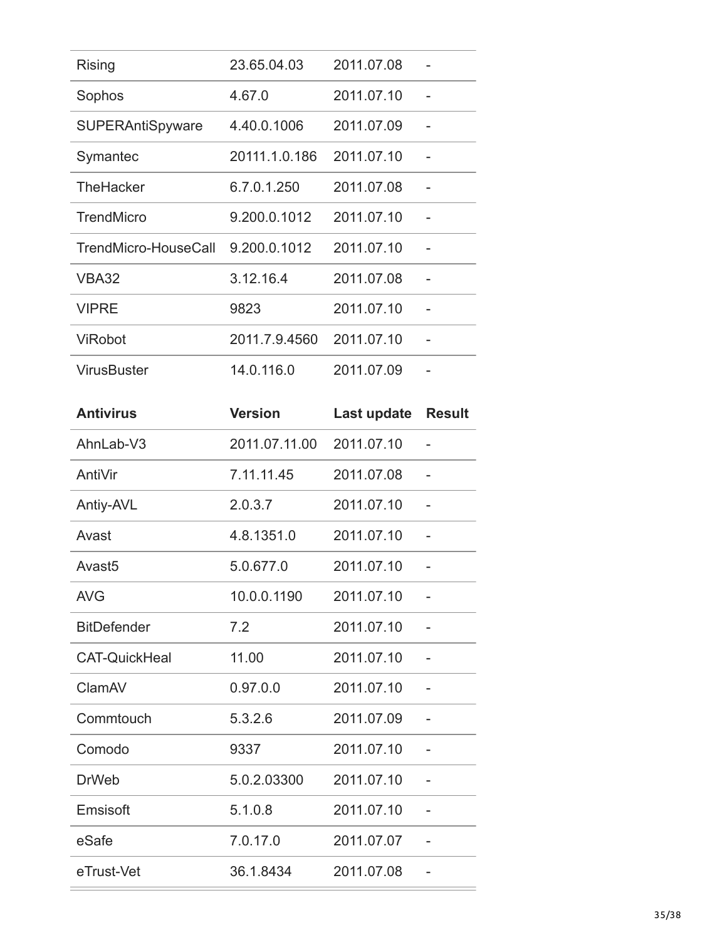| <b>Rising</b>        | 23.65.04.03   | 2011.07.08 |  |
|----------------------|---------------|------------|--|
| Sophos               | 4.67.0        | 2011.07.10 |  |
| SUPERAntiSpyware     | 4.40.0.1006   | 2011.07.09 |  |
| Symantec             | 20111.1.0.186 | 2011.07.10 |  |
| <b>TheHacker</b>     | 6.7.0.1.250   | 2011.07.08 |  |
| <b>TrendMicro</b>    | 9.200.0.1012  | 2011.07.10 |  |
| TrendMicro-HouseCall | 9.200.0.1012  | 2011.07.10 |  |
| <b>VBA32</b>         | 3.12.16.4     | 2011.07.08 |  |
| <b>VIPRE</b>         | 9823          | 2011.07.10 |  |
| <b>ViRobot</b>       | 2011.7.9.4560 | 2011.07.10 |  |
| <b>VirusBuster</b>   | 14.0.116.0    | 2011.07.09 |  |

| <b>Antivirus</b>     | <b>Version</b> | Last update | <b>Result</b> |
|----------------------|----------------|-------------|---------------|
| AhnLab-V3            | 2011.07.11.00  | 2011.07.10  |               |
| AntiVir              | 7.11.11.45     | 2011.07.08  |               |
| Antiy-AVL            | 2.0.3.7        | 2011.07.10  |               |
| Avast                | 4.8.1351.0     | 2011.07.10  |               |
| Avast <sub>5</sub>   | 5.0.677.0      | 2011.07.10  |               |
| <b>AVG</b>           | 10.0.0.1190    | 2011.07.10  |               |
| <b>BitDefender</b>   | 7.2            | 2011.07.10  |               |
| <b>CAT-QuickHeal</b> | 11.00          | 2011.07.10  |               |
| ClamAV               | 0.97.0.0       | 2011.07.10  |               |
| Commtouch            | 5.3.2.6        | 2011.07.09  |               |
| Comodo               | 9337           | 2011.07.10  |               |
| <b>DrWeb</b>         | 5.0.2.03300    | 2011.07.10  |               |
| Emsisoft             | 5.1.0.8        | 2011.07.10  |               |
| eSafe                | 7.0.17.0       | 2011.07.07  |               |
| eTrust-Vet           | 36.1.8434      | 2011.07.08  |               |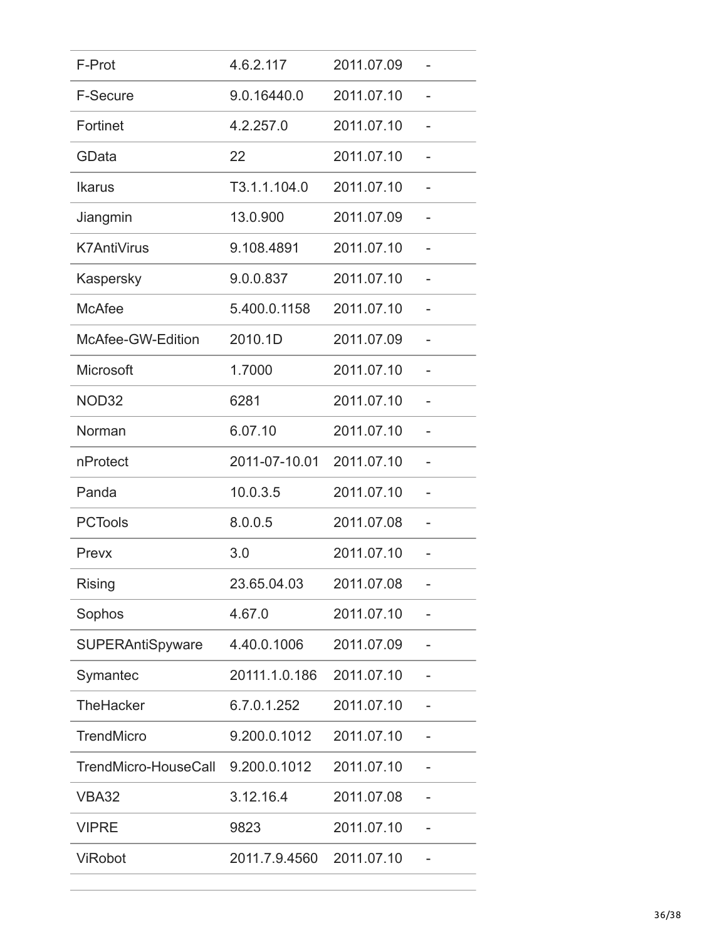| F-Prot                  | 4.6.2.117     | 2011.07.09 |  |
|-------------------------|---------------|------------|--|
| <b>F-Secure</b>         | 9.0.16440.0   | 2011.07.10 |  |
| Fortinet                | 4.2.257.0     | 2011.07.10 |  |
| GData                   | 22            | 2011.07.10 |  |
| <b>Ikarus</b>           | T3.1.1.104.0  | 2011.07.10 |  |
| Jiangmin                | 13.0.900      | 2011.07.09 |  |
| <b>K7AntiVirus</b>      | 9.108.4891    | 2011.07.10 |  |
| Kaspersky               | 9.0.0.837     | 2011.07.10 |  |
| <b>McAfee</b>           | 5.400.0.1158  | 2011.07.10 |  |
| McAfee-GW-Edition       | 2010.1D       | 2011.07.09 |  |
| Microsoft               | 1.7000        | 2011.07.10 |  |
| NOD32                   | 6281          | 2011.07.10 |  |
| Norman                  | 6.07.10       | 2011.07.10 |  |
| nProtect                | 2011-07-10.01 | 2011.07.10 |  |
| Panda                   | 10.0.3.5      | 2011.07.10 |  |
| <b>PCTools</b>          | 8.0.0.5       | 2011.07.08 |  |
| Prevx                   | 3.0           | 2011.07.10 |  |
| <b>Rising</b>           | 23.65.04.03   | 2011.07.08 |  |
| Sophos                  | 4.67.0        | 2011.07.10 |  |
| <b>SUPERAntiSpyware</b> | 4.40.0.1006   | 2011.07.09 |  |
| Symantec                | 20111.1.0.186 | 2011.07.10 |  |
| <b>TheHacker</b>        | 6.7.0.1.252   | 2011.07.10 |  |
| <b>TrendMicro</b>       | 9.200.0.1012  | 2011.07.10 |  |
| TrendMicro-HouseCall    | 9.200.0.1012  | 2011.07.10 |  |
| <b>VBA32</b>            | 3.12.16.4     | 2011.07.08 |  |
| <b>VIPRE</b>            | 9823          | 2011.07.10 |  |
| <b>ViRobot</b>          | 2011.7.9.4560 | 2011.07.10 |  |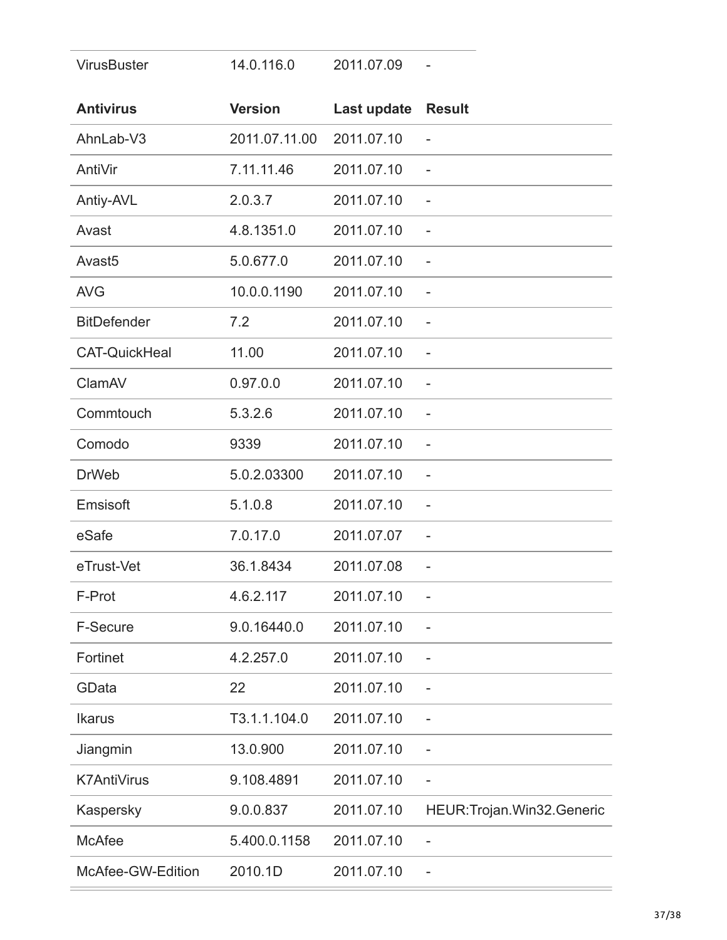| <b>VirusBuster</b>   | 14.0.116.0     | 2011.07.09  |                              |
|----------------------|----------------|-------------|------------------------------|
| <b>Antivirus</b>     | <b>Version</b> | Last update | <b>Result</b>                |
| AhnLab-V3            | 2011.07.11.00  | 2011.07.10  |                              |
| AntiVir              | 7.11.11.46     | 2011.07.10  | $\overline{\phantom{0}}$     |
| Antiy-AVL            | 2.0.3.7        | 2011.07.10  | $\overline{\phantom{0}}$     |
| Avast                | 4.8.1351.0     | 2011.07.10  | $\overline{\phantom{0}}$     |
| Avast <sub>5</sub>   | 5.0.677.0      | 2011.07.10  | $\overline{\phantom{0}}$     |
| <b>AVG</b>           | 10.0.0.1190    | 2011.07.10  |                              |
| <b>BitDefender</b>   | 7.2            | 2011.07.10  | $\overline{\phantom{0}}$     |
| <b>CAT-QuickHeal</b> | 11.00          | 2011.07.10  |                              |
| ClamAV               | 0.97.0.0       | 2011.07.10  | $\overline{\phantom{a}}$     |
| Commtouch            | 5.3.2.6        | 2011.07.10  | $\overline{\phantom{0}}$     |
| Comodo               | 9339           | 2011.07.10  | $\overline{a}$               |
| <b>DrWeb</b>         | 5.0.2.03300    | 2011.07.10  |                              |
| Emsisoft             | 5.1.0.8        | 2011.07.10  | $\overline{\phantom{0}}$     |
| eSafe                | 7.0.17.0       | 2011.07.07  | $\overline{\phantom{0}}$     |
| eTrust-Vet           | 36.1.8434      | 2011.07.08  | $\overline{\phantom{0}}$     |
| F-Prot               | 4.6.2.117      | 2011.07.10  | $\overline{\phantom{0}}$     |
| F-Secure             | 9.0.16440.0    | 2011.07.10  |                              |
| Fortinet             | 4.2.257.0      | 2011.07.10  |                              |
| GData                | 22             | 2011.07.10  |                              |
| <b>Ikarus</b>        | T3.1.1.104.0   | 2011.07.10  | $\overline{\phantom{0}}$     |
| Jiangmin             | 13.0.900       | 2011.07.10  | $\overline{\phantom{0}}$     |
| <b>K7AntiVirus</b>   | 9.108.4891     | 2011.07.10  | $\overline{a}$               |
| Kaspersky            | 9.0.0.837      | 2011.07.10  | HEUR: Trojan. Win32. Generic |
| <b>McAfee</b>        | 5.400.0.1158   | 2011.07.10  | $\qquad \qquad -$            |
| McAfee-GW-Edition    | 2010.1D        | 2011.07.10  |                              |